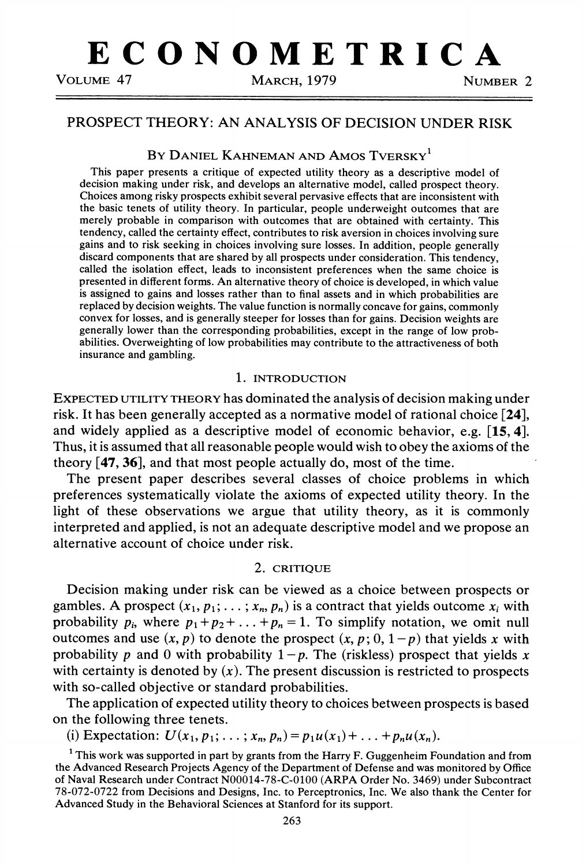# $\mathbf{E}$  **C O N O M E T R I C A** <br>**I** NUMBE 47

**MARCH, 1979** 

# **PROSPECT THEORY: AN ANALYSIS OF DECISION UNDER RISK**

# **BY DANIEL KAHNEMAN AND AMOS TVERSKY'**

**This paper presents a critique of expected utility theory as a descriptive model of decision making under risk, and develops an alternative model, called prospect theory. Choices among risky prospects exhibit several pervasive effects that are inconsistent with the basic tenets of utility theory. In particular, people underweight outcomes that are merely probable in comparison with outcomes that are obtained with certainty. This tendency, called the certainty effect, contributes to risk aversion in choices involving sure gains and to risk seeking in choices involving sure losses. In addition, people generally discard components that are shared by all prospects under consideration. This tendency, called the isolation effect, leads to inconsistent preferences when the same choice is presented in different forms. An alternative theory of choice is developed, in which value is assigned to gains and losses rather than to final assets and in which probabilities are replaced by decision weights. The value function is normally concave for gains, commonly convex for losses, and is generally steeper for losses than for gains. Decision weights are generally lower than the corresponding probabilities, except in the range of low probabilities. Overweighting of low probabilities may contribute to the attractiveness of both insurance and gambling.** 

#### **1. INTRODUCTION**

**EXPECTED UTILITY THEORY has dominated the analysis of decision making under risk. It has been generally accepted as a normative model of rational choice [24], and widely applied as a descriptive model of economic behavior, e.g. [15, 4]. Thus, it is assumed that all reasonable people would wish to obey the axioms of the theory [47, 36], and that most people actually do, most of the time.** 

**The present paper describes several classes of choice problems in which preferences systematically violate the axioms of expected utility theory. In the light of these observations we argue that utility theory, as it is commonly interpreted and applied, is not an adequate descriptive model and we propose an alternative account of choice under risk.** 

# **2. CRITIQUE**

**Decision making under risk can be viewed as a choice between prospects or**  gambles. A prospect  $(x_1, p_1; \ldots; x_n, p_n)$  is a contract that yields outcome  $x_i$  with **probability**  $p_i$ , where  $p_1 + p_2 + \ldots + p_n = 1$ . To simplify notation, we omit null outcomes and use  $(x, p)$  to denote the prospect  $(x, p; 0, 1-p)$  that yields x with probability p and 0 with probability  $1-p$ . The (riskless) prospect that yields x with certainty is denoted by  $(x)$ . The present discussion is restricted to prospects **with so-called objective or standard probabilities.** 

**The application of expected utility theory to choices between prospects is based on the following three tenets.** 

(i) Expectation:  $U(x_1, p_1; \ldots; x_n, p_n) = p_1 u(x_1) + \ldots + p_n u(x_n)$ .

**<sup>1</sup> This work was supported in part by grants from the Harry F. Guggenheim Foundation and from the Advanced Research Projects Agency of the Department of Defense and was monitored by Office of Naval Research under Contract N00014-78-C-0100 (ARPA Order No. 3469) under Subcontract 78-072-0722 from Decisions and Designs, Inc. to Perceptronics, Inc. We also thank the Center for Advanced Study in the Behavioral Sciences at Stanford for its support.**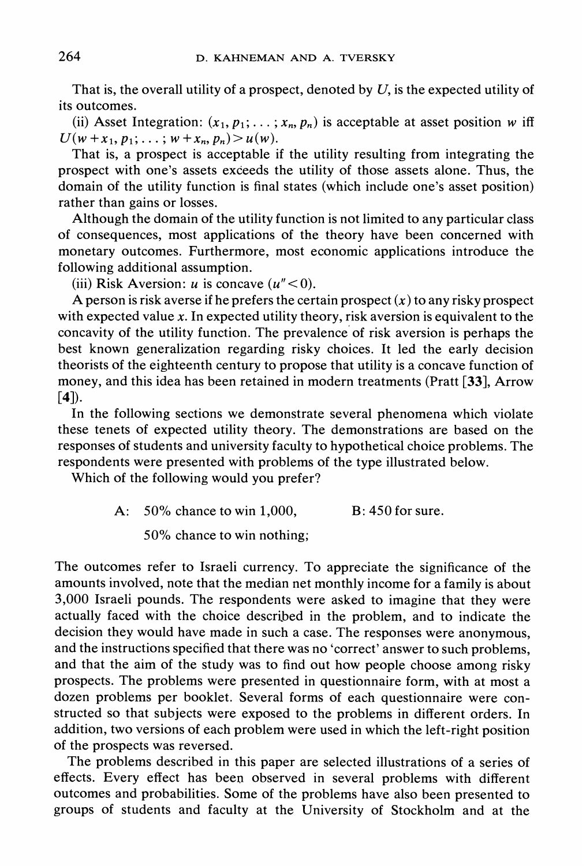**That is, the overall utility of a prospect, denoted by U, is the expected utility of its outcomes.** 

(ii) Asset Integration:  $(x_1, p_1; \ldots; x_n, p_n)$  is acceptable at asset position w iff  $U(w + x_1, p_1; \ldots; w + x_n, p_n) > u(w).$ 

**That is, a prospect is acceptable if the utility resulting from integrating the prospect with one's assets exceeds the utility of those assets alone. Thus, the domain of the utility function is final states (which include one's asset position) rather than gains or losses.** 

**Although the domain of the utility function is not limited to any particular class of consequences, most applications of the theory have been concerned with monetary outcomes. Furthermore, most economic applications introduce the following additional assumption.** 

(iii) Risk Aversion:  $u$  is concave  $(u'' < 0)$ .

A person is risk averse if he prefers the certain prospect  $(x)$  to any risky prospect **with expected value x. In expected utility theory, risk aversion is equivalent to the concavity of the utility function. The prevalence of risk aversion is perhaps the best known generalization regarding risky choices. It led the early decision theorists of the eighteenth century to propose that utility is a concave function of money, and this idea has been retained in modern treatments (Pratt [33], Arrow [4]).** 

**In the following sections we demonstrate several phenomena which violate these tenets of expected utility theory. The demonstrations are based on the responses of students and university faculty to hypothetical choice problems. The respondents were presented with problems of the type illustrated below.** 

**Which of the following would you prefer?** 

**A: 50% chance to win 1,000, B: 450 for sure.** 

**50% chance to win nothing;** 

**The outcomes refer to Israeli currency. To appreciate the significance of the amounts involved, note that the median net monthly income for a family is about 3,000 Israeli pounds. The respondents were asked to imagine that they were actually faced with the choice described in the problem, and to indicate the decision they would have made in such a case. The responses were anonymous, and the instructions specified that there was no 'correct' answer to such problems, and that the aim of the study was to find out how people choose among risky prospects. The problems were presented in questionnaire form, with at most a dozen problems per booklet. Several forms of each questionnaire were constructed so that subjects were exposed to the problems in different orders. In addition, two versions of each problem were used in which the left-right position of the prospects was reversed.** 

**The problems described in this paper are selected illustrations of a series of effects. Every effect has been observed in several problems with different outcomes and probabilities. Some of the problems have also been presented to groups of students and faculty at the University of Stockholm and at the**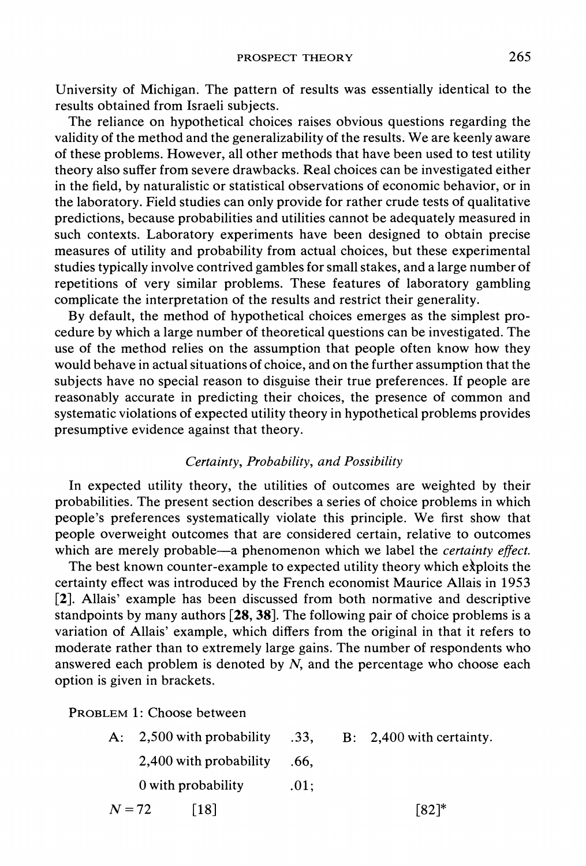**University of Michigan. The pattern of results was essentially identical to the results obtained from Israeli subjects.** 

**The reliance on hypothetical choices raises obvious questions regarding the validity of the method and the generalizability of the results. We are keenly aware of these problems. However, all other methods that have been used to test utility theory also suffer from severe drawbacks. Real choices can be investigated either in the field, by naturalistic or statistical observations of economic behavior, or in the laboratory. Field studies can only provide for rather crude tests of qualitative predictions, because probabilities and utilities cannot be adequately measured in such contexts. Laboratory experiments have been designed to obtain precise measures of utility and probability from actual choices, but these experimental studies typically involve contrived gambles for small stakes, and a large number of repetitions of very similar problems. These features of laboratory gambling complicate the interpretation of the results and restrict their generality.** 

**By default, the method of hypothetical choices emerges as the simplest procedure by which a large number of theoretical questions can be investigated. The use of the method relies on the assumption that people often know how they would behave in actual situations of choice, and on the further assumption that the subjects have no special reason to disguise their true preferences. If people are reasonably accurate in predicting their choices, the presence of common and systematic violations of expected utility theory in hypothetical problems provides presumptive evidence against that theory.** 

## **Certainty, Probability, and Possibility**

**In expected utility theory, the utilities of outcomes are weighted by their probabilities. The present section describes a series of choice problems in which people's preferences systematically violate this principle. We first show that people overweight outcomes that are considered certain, relative to outcomes**  which are merely probable-a phenomenon which we label the *certainty effect*.

**The best known counter-example to expected utility theory which e\*ploits the certainty effect was introduced by the French economist Maurice Allais in 1953 [2]. Allais' example has been discussed from both normative and descriptive standpoints by many authors [28, 38]. The following pair of choice problems is a variation of Allais' example, which differs from the original in that it refers to moderate rather than to extremely large gains. The number of respondents who answered each problem is denoted by N, and the percentage who choose each option is given in brackets.** 

**PROBLEM 1: Choose between** 

| A: $2,500$ with probability .33, |      | $B: 2,400$ with certainty. |
|----------------------------------|------|----------------------------|
| 2,400 with probability           | .66. |                            |
| 0 with probability               | .01: |                            |
| $N = 72$<br>$\lceil 18 \rceil$   |      | $[82]$ *                   |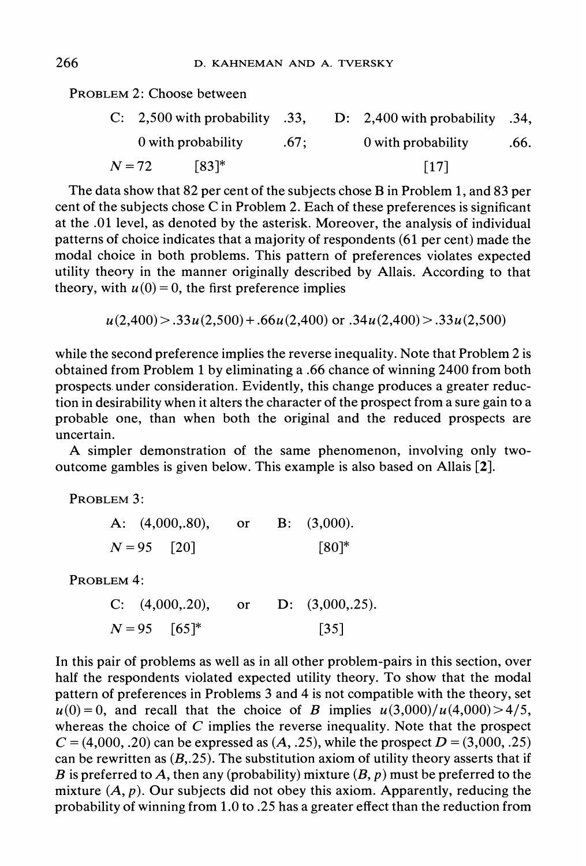**PROBLEM 2: Choose between** 

|          | C: 2,500 with probability .33, |      | D: 2,400 with probability .34, |                    |      |
|----------|--------------------------------|------|--------------------------------|--------------------|------|
|          | 0 with probability             | .67: |                                | 0 with probability | .66. |
| $N = 72$ | $[83]$ *                       |      |                                | [17]               |      |

**The data show that 82 per cent of the subjects chose B in Problem 1, and 83 per cent of the subjects chose C in Problem 2. Each of these preferences is significant at the .01 level, as denoted by the asterisk. Moreover, the analysis of individual patterns of choice indicates that a majority of respondents (61 per cent) made the modal choice in both problems. This pattern of preferences violates expected utility theory in the manner originally described by Allais. According to that**  theory, with  $u(0) = 0$ , the first preference implies

$$
u(2,400) > .33u(2,500) + .66u(2,400) \text{ or } .34u(2,400) > .33u(2,500)
$$

**while the second preference implies the reverse inequality. Note that Problem 2 is obtained from Problem 1 by eliminating a .66 chance of winning 2400 from both prospects. under consideration. Evidently, this change produces a greater reduction in desirability when it alters the character of the prospect from a sure gain to a probable one, than when both the original and the reduced prospects are uncertain.** 

**A simpler demonstration of the same phenomenon, involving only twooutcome gambles is given below. This example is also based on Allais [2].** 

**PROBLEM 3:** 

|  | A: $(4,000,0.80)$ , | or | B: (3,000). |
|--|---------------------|----|-------------|
|  | $N = 95$ [20]       |    | $[80]$ *    |

**PROBLEM 4:** 

|                | C: (4,000,.20), |  | or D: $(3,000, .25)$ . |
|----------------|-----------------|--|------------------------|
| $N = 95$ [65]* |                 |  | $\lceil 35 \rceil$     |

**In this pair of problems as well as in all other problem-pairs in this section, over half the respondents violated expected utility theory. To show that the modal pattern of preferences in Problems 3 and 4 is not compatible with the theory, set**   $u(0) = 0$ , and recall that the choice of B implies  $u(3,000)/u(4,000) > 4/5$ , **whereas the choice of C implies the reverse inequality. Note that the prospect**   $C = (4,000, .20)$  can be expressed as  $(A, .25)$ , while the prospect  $D = (3,000, .25)$ **can be rewritten as (B,.25). The substitution axiom of utility theory asserts that if**   $B$  is preferred to  $A$ , then any (probability) mixture  $(B, p)$  must be preferred to the **mixture (A, p). Our subjects did not obey this axiom. Apparently, reducing the probability of winning from 1.0 to .25 has a greater effect than the reduction from**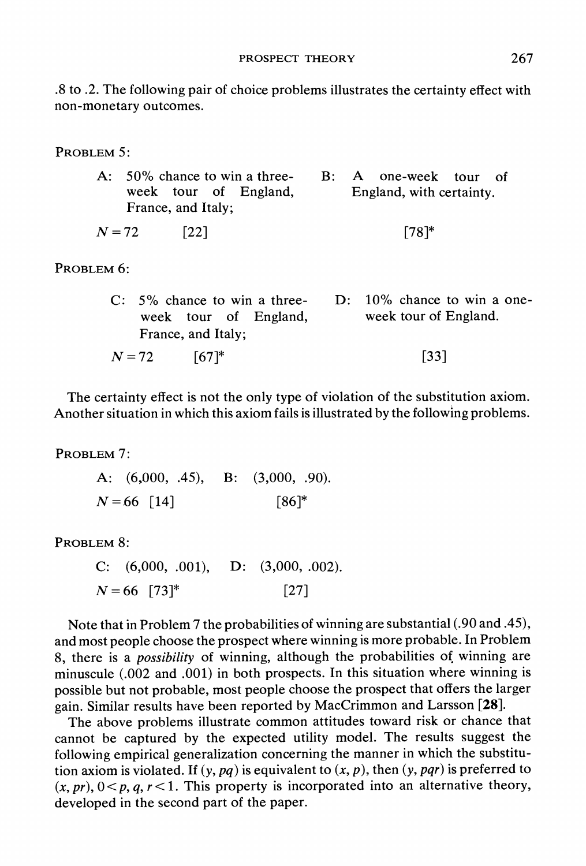**.8 to .2. The following pair of choice problems illustrates the certainty effect with non-monetary outcomes.** 

**PROBLEM 5:** 

|          | week tour of England.<br>France, and Italy; | A: $50\%$ chance to win a three- |  | B: A one-week tour of<br>England, with certainty. |  |
|----------|---------------------------------------------|----------------------------------|--|---------------------------------------------------|--|
| $N = 72$ | $\lceil 22 \rceil$                          |                                  |  | $\lceil 78 \rceil^*$                              |  |

**PROBLEM 6:** 

| $C: 5\%$ chance to win a three-<br>week tour of England, |  | D: $10\%$ chance to win a one-<br>week tour of England. |
|----------------------------------------------------------|--|---------------------------------------------------------|
| France, and Italy;                                       |  |                                                         |
| $N = 72$ [67]*                                           |  | $\lceil 33 \rceil$                                      |

**The certainty effect is not the only type of violation of the substitution axiom. Another situation in which this axiom fails is illustrated by the following problems.** 

**PROBLEM 7:** 

**A: (6,000, .45), B: (3,000, .90).**   $N = 66$  [14] [86]\*

**PROBLEM 8:** 

**C: (6,000, .001), D: (3,000, .002).**   $N = 66$  [73]\* [27]

**Note that in Problem 7 the probabilities of winning are substantial (.90 and .45), and most people choose the prospect where winning is more probable. In Problem 8, there is a possibility of winning, although the probabilities of winning are minuscule (.002 and .001) in both prospects. In this situation where winning is possible but not probable, most people choose the prospect that offers the larger gain. Similar results have been reported by MacCrimmon and Larsson [28].** 

**The above problems illustrate common attitudes toward risk or chance that cannot be captured by the expected utility model. The results suggest the following empirical generalization concerning the manner in which the substitu**tion axiom is violated. If  $(y, pq)$  is equivalent to  $(x, p)$ , then  $(y, pqr)$  is preferred to  $(x, pr)$ ,  $0 \leq p, q, r \leq 1$ . This property is incorporated into an alternative theory, **developed in the second part of the paper.**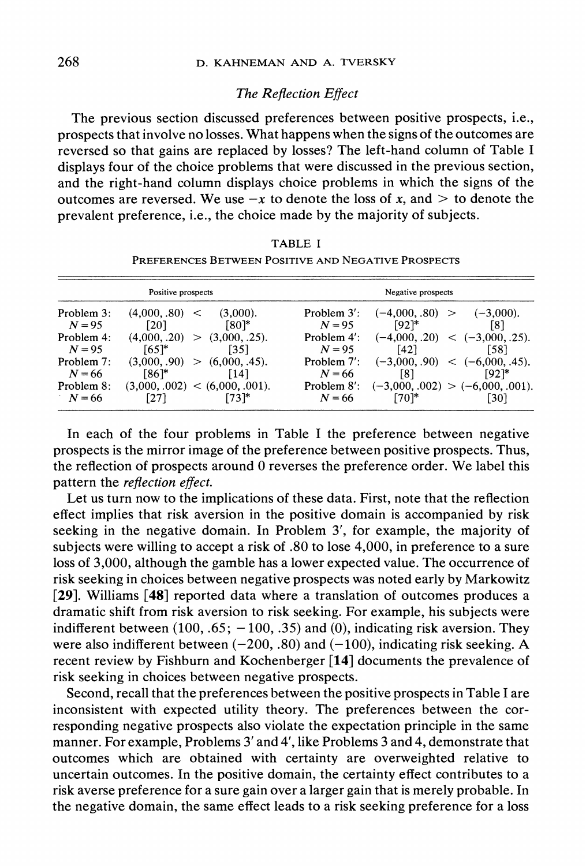## **The Reflection Effect**

**The previous section discussed preferences between positive prospects, i.e., prospects that involve no losses. What happens when the signs of the outcomes are reversed so that gains are replaced by losses? The left-hand column of Table I displays four of the choice problems that were discussed in the previous section, and the right-hand column displays choice problems in which the signs of the outcomes are reversed. We use**  $-x$  **to denote the loss of x, and**  $>$  **to denote the prevalent preference, i.e., the choice made by the majority of subjects.** 

| TABLE I                                             |
|-----------------------------------------------------|
| PREFERENCES BETWEEN POSITIVE AND NEGATIVE PROSPECTS |

|                        | Positive prospects       |                                            |                           | Negative prospects          |                                             |
|------------------------|--------------------------|--------------------------------------------|---------------------------|-----------------------------|---------------------------------------------|
| Problem 3:<br>$N = 95$ | (4.00080)<br>[20]        | $(3,000)$ .<br><<br>1801*                  | Problem $3$ :<br>$N = 95$ | $(-4.000, .80)$<br>$[92]$ * | $(-3.000)$ .<br>181                         |
| Problem 4:<br>$N = 95$ | (4,000, .20)<br>$[65]$ * | $(3,000, .25)$ .<br>><br>[35]              | Problem 4':<br>$N = 95$   | $(-4,000, .20)$<br>[42]     | $\langle -3,000, .25 \rangle$ .<br>[58]     |
| Problem 7:<br>$N = 66$ | (3.000, .90)<br>[86]*    | $(6.000, .45)$ .<br>$\geq$<br>[14]         | Problem $7$ :<br>$N = 66$ | $(-3,000, .90)$<br>[8]      | $(-6,000, .45)$ .<br>$\prec$<br>1921*       |
| Problem 8:<br>$N = 66$ | [27]                     | $(3.000, .002) < (6.000, .001)$ .<br>[73]* | Problem 8':<br>$N = 66$   | *017 آ                      | $(-3,000, .002) > (-6,000, .001)$ .<br>[30] |

**In each of the four problems in Table I the preference between negative prospects is the mirror image of the preference between positive prospects. Thus, the reflection of prospects around 0 reverses the preference order. We label this pattern the reflection effect.** 

**Let us turn now to the implications of these data. First, note that the reflection effect implies that risk aversion in the positive domain is accompanied by risk seeking in the negative domain. In Problem 3', for example, the majority of subjects were willing to accept a risk of .80 to lose 4,000, in preference to a sure loss of 3,000, although the gamble has a lower expected value. The occurrence of risk seeking in choices between negative prospects was noted early by Markowitz [29]. Williams [48] reported data where a translation of outcomes produces a dramatic shift from risk aversion to risk seeking. For example, his subjects were**  indifferent between  $(100, .65; -100, .35)$  and  $(0)$ , indicating risk aversion. They were also indifferent between  $(-200, .80)$  and  $(-100)$ , indicating risk seeking. A **recent review by Fishburn and Kochenberger [14] documents the prevalence of risk seeking in choices between negative prospects.** 

**Second, recall that the preferences between the positive prospects in Table I are inconsistent with expected utility theory. The preferences between the corresponding negative prospects also violate the expectation principle in the same manner. For example, Problems 3' and 4', like Problems 3 and 4, demonstrate that outcomes which are obtained with certainty are overweighted relative to uncertain outcomes. In the positive domain, the certainty effect contributes to a risk averse preference for a sure gain over a larger gain that is merely probable. In the negative domain, the same effect leads to a risk seeking preference for a loss**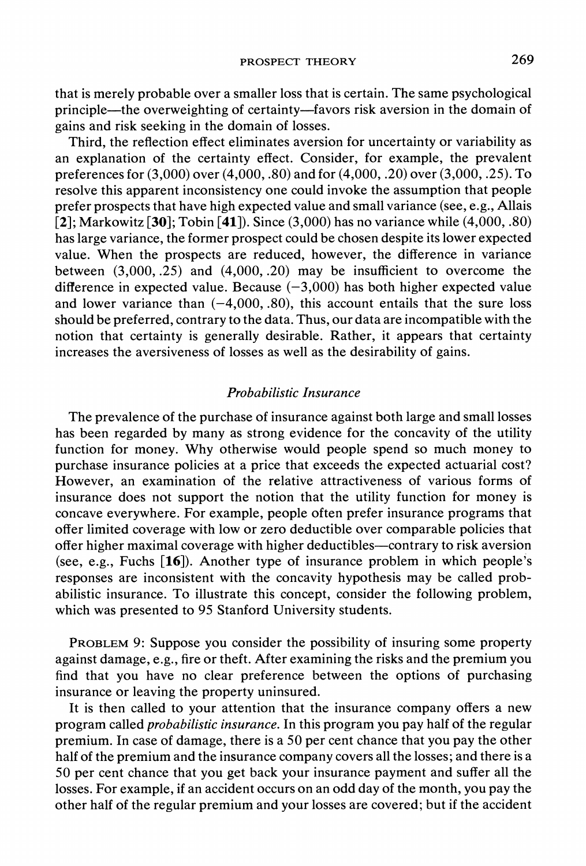**that is merely probable over a smaller loss that is certain. The same psychological**  principle—the overweighting of certainty—favors risk aversion in the domain of **gains and risk seeking in the domain of losses.** 

**Third, the reflection effect eliminates aversion for uncertainty or variability as an explanation of the certainty effect. Consider, for example, the prevalent preferences for (3,000) over (4,000, .80) and for (4,000, .20) over (3,000, .25). To resolve this apparent inconsistency one could invoke the assumption that people prefer prospects that have high expected value and small variance (see, e.g., Allais [2]; Markowitz [30]; Tobin [41]). Since (3,000) has no variance while (4,000, .80) has large variance, the former prospect could be chosen despite its lower expected value. When the prospects are reduced, however, the difference in variance between (3,000,.25) and (4,000,.20) may be insufficient to overcome the**  difference in expected value. Because (-3,000) has both higher expected value and lower variance than  $(-4,000,0.80)$ , this account entails that the sure loss **should be preferred, contrary to the data. Thus, our data are incompatible with the notion that certainty is generally desirable. Rather, it appears that certainty increases the aversiveness of losses as well as the desirability of gains.** 

#### **Probabilistic Insurance**

**The prevalence of the purchase of insurance against both large and small losses has been regarded by many as strong evidence for the concavity of the utility function for money. Why otherwise would people spend so much money to purchase insurance policies at a price that exceeds the expected actuarial cost? However, an examination of the relative attractiveness of various forms of insurance does not support the notion that the utility function for money is concave everywhere. For example, people often prefer insurance programs that offer limited coverage with low or zero deductible over comparable policies that offer higher maximal coverage with higher deductibles-contrary to risk aversion (see, e.g., Fuchs [16]). Another type of insurance problem in which people's responses are inconsistent with the concavity hypothesis may be called probabilistic insurance. To illustrate this concept, consider the following problem, which was presented to 95 Stanford University students.** 

**PROBLEM 9: Suppose you consider the possibility of insuring some property against damage, e.g., fire or theft. After examining the risks and the premium you find that you have no clear preference between the options of purchasing insurance or leaving the property uninsured.** 

**It is then called to your attention that the insurance company offers a new program called probabilistic insurance. In this program you pay half of the regular premium. In case of damage, there is a 50 per cent chance that you pay the other half of the premium and the insurance company covers all the losses; and there is a 50 per cent chance that you get back your insurance payment and suffer all the losses. For example, if an accident occurs on an odd day of the month, you pay the other half of the regular premium and your losses are covered; but if the accident**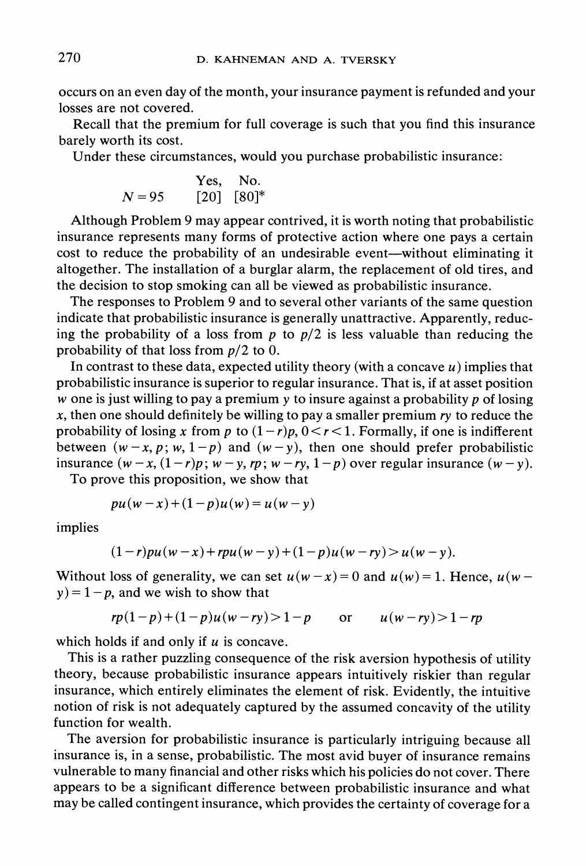**occurs on an even day of the month, your insurance payment is refunded and your losses are not covered.** 

**Recall that the premium for full coverage is such that you find this insurance barely worth its cost.** 

**Under these circumstances, would you purchase probabilistic insurance:** 

Yes, No.  

$$
N = 95
$$
 [20] [80]<sup>\*</sup>

**Although Problem 9 may appear contrived, it is worth noting that probabilistic insurance represents many forms of protective action where one pays a certain**  cost to reduce the probability of an undesirable event—without eliminating it **altogether. The installation of a burglar alarm, the replacement of old tires, and the decision to stop smoking can all be viewed as probabilistic insurance.** 

**The responses to Problem 9 and to several other variants of the same question indicate that probabilistic insurance is generally unattractive. Apparently, reduc**ing the probability of a loss from  $p$  to  $p/2$  is less valuable than reducing the **probability of that loss from p/2 to 0.** 

**In contrast to these data, expected utility theory (with a concave u) implies that probabilistic insurance is superior to regular insurance. That is, if at asset position w one is just willing to pay a premium y to insure against a probability p of losing x, then one should definitely be willing to pay a smaller premium ry to reduce the**  probability of losing x from p to  $(1 - r)p$ ,  $0 < r < 1$ . Formally, if one is indifferent between  $(w-x, p; w, 1-p)$  and  $(w - y)$ , then one should prefer probabilistic insurance  $(w-x, (1-r)p; w-y, rp; w-ry, 1-p)$  over regular insurance  $(w-y)$ .

**To prove this proposition, we show that** 

$$
pu(w - x) + (1 - p)u(w) = u(w - y)
$$

**implies** 

$$
(1-r)pu(w-x) + rpu(w-y) + (1-p)u(w-ry) > u(w-y).
$$

Without loss of generality, we can set  $u(w-x) = 0$  and  $u(w) = 1$ . Hence,  $u(w - x) = 0$  $y$ ) = 1-p, and we wish to show that

$$
rp(1-p)+(1-p)u(w-ry) > 1-p
$$
 or  $u(w-ry) > 1-rp$ 

which holds if and only if  $u$  is concave.

**This is a rather puzzling consequence of the risk aversion hypothesis of utility theory, because probabilistic insurance appears intuitively riskier than regular insurance, which entirely eliminates the element of risk. Evidently, the intuitive notion of risk is not adequately captured by the assumed concavity of the utility function for wealth.** 

**The aversion for probabilistic insurance is particularly intriguing because all insurance is, in a sense, probabilistic. The most avid buyer of insurance remains vulnerable to many financial and other risks which his policies do not cover. There appears to be a significant difference between probabilistic insurance and what may be called contingent insurance, which provides the certainty of coverage for a**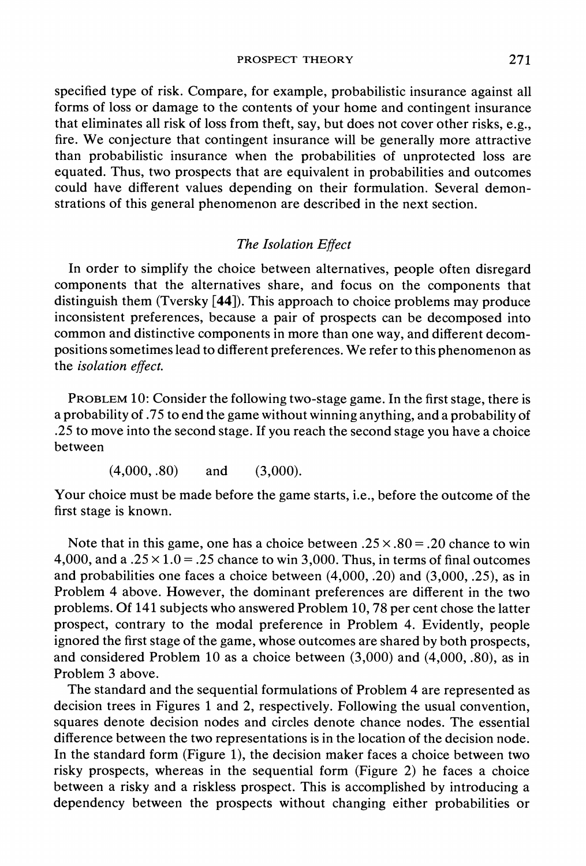**specified type of risk. Compare, for example, probabilistic insurance against all forms of loss or damage to the contents of your home and contingent insurance that eliminates all risk of loss from theft, say, but does not cover other risks, e.g., fire. We conjecture that contingent insurance will be generally more attractive than probabilistic insurance when the probabilities of unprotected loss are equated. Thus, two prospects that are equivalent in probabilities and outcomes could have different values depending on their formulation. Several demonstrations of this general phenomenon are described in the next section.** 

# **The Isolation Effect**

**In order to simplify the choice between alternatives, people often disregard components that the alternatives share, and focus on the components that distinguish them (Tversky [44]). This approach to choice problems may produce inconsistent preferences, because a pair of prospects can be decomposed into common and distinctive components in more than one way, and different decompositions sometimes lead to different preferences. We refer to this phenomenon as the isolation effect.** 

**PROBLEM 10: Consider the following two-stage game. In the first stage, there is a probability of .75 to end the game without winning anything, and a probability of .25 to move into the second stage. If you reach the second stage you have a choice between** 

**(4,000,.80) and (3,000).** 

**Your choice must be made before the game starts, i.e., before the outcome of the first stage is known.** 

**Note that in this game, one has a choice between .25 x.80= .20 chance to win**  4,000, and a  $.25 \times 1.0 = .25$  chance to win 3,000. Thus, in terms of final outcomes **and probabilities one faces a choice between (4,000, .20) and (3,000, .25), as in Problem 4 above. However, the dominant preferences are different in the two problems. Of 141 subjects who answered Problem 10, 78 per cent chose the latter prospect, contrary to the modal preference in Problem 4. Evidently, people ignored the first stage of the game, whose outcomes are shared by both prospects, and considered Problem 10 as a choice between (3,000) and (4,000,.80), as in Problem 3 above.** 

**The standard and the sequential formulations of Problem 4 are represented as decision trees in Figures 1 and 2, respectively. Following the usual convention, squares denote decision nodes and circles denote chance nodes. The essential difference between the two representations is in the location of the decision node. In the standard form (Figure 1), the decision maker faces a choice between two risky prospects, whereas in the sequential form (Figure 2) he faces a choice between a risky and a riskless prospect. This is accomplished by introducing a dependency between the prospects without changing either probabilities or**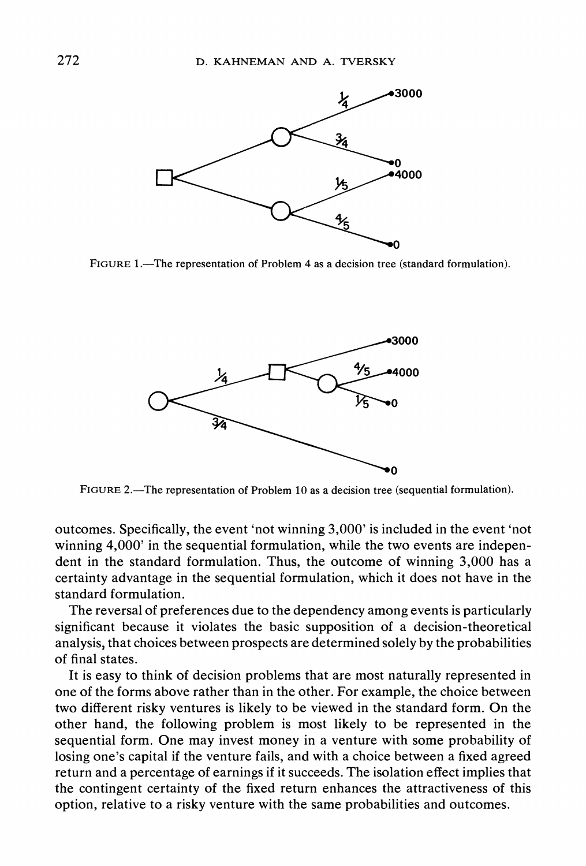

FIGURE 1.—The representation of Problem 4 as a decision tree (standard formulation).



FIGURE 2.—The representation of Problem 10 as a decision tree (sequential formulation).

**outcomes. Specifically, the event 'not winning 3,000' is included in the event 'not winning 4,000' in the sequential formulation, while the two events are independent in the standard formulation. Thus, the outcome of winning 3,000 has a certainty advantage in the sequential formulation, which it does not have in the standard formulation.** 

**The reversal of preferences due to the dependency among events is particularly significant because it violates the basic supposition of a decision-theoretical analysis, that choices between prospects are determined solely by the probabilities of final states.** 

**It is easy to think of decision problems that are most naturally represented in one of the forms above rather than in the other. For example, the choice between two different risky ventures is likely to be viewed in the standard form. On the other hand, the following problem is most likely to be represented in the sequential form. One may invest money in a venture with some probability of losing one's capital if the venture fails, and with a choice between a fixed agreed return and a percentage of earnings if it succeeds. The isolation effect implies that the contingent certainty of the fixed return enhances the attractiveness of this option, relative to a risky venture with the same probabilities and outcomes.**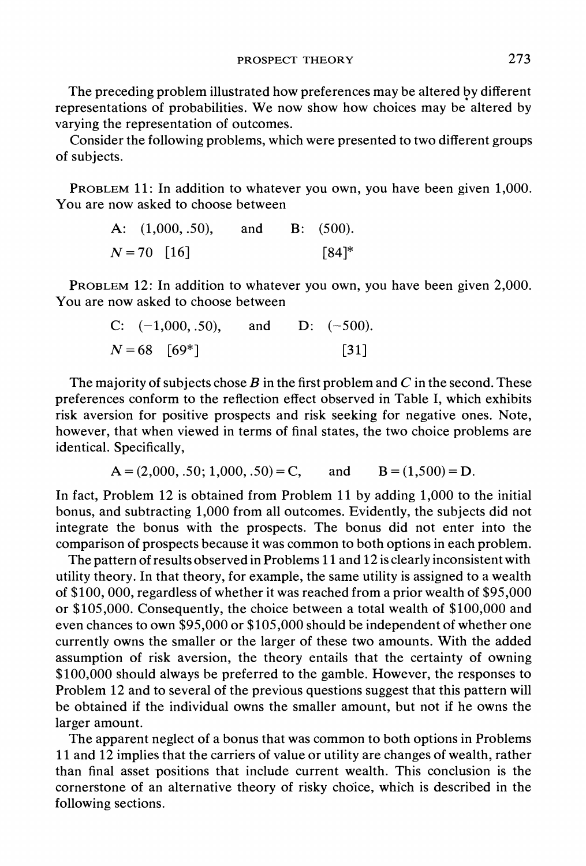**The preceding problem illustrated how preferences may be altered by different representations of probabilities. We now show how choices may be altered by varying the representation of outcomes.** 

**Consider the following problems, which were presented to two different groups of subjects.** 

**PROBLEM 11: In addition to whatever you own, you have been given 1,000. You are now asked to choose between** 

| A: $(1,000, .50)$ , | and | B: (500).            |
|---------------------|-----|----------------------|
| $N = 70$ [16]       |     | $\lceil 84 \rceil^*$ |

**PROBLEM 12: In addition to whatever you own, you have been given 2,000. You are now asked to choose between** 

| C: $(-1,000, .50)$ , and D: $(-500)$ . |  |      |
|----------------------------------------|--|------|
| $N = 68$ [69*]                         |  | [31] |

**The majority of subjects chose B in the first problem and C in the second. These preferences conform to the reflection effect observed in Table I, which exhibits risk aversion for positive prospects and risk seeking for negative ones. Note, however, that when viewed in terms of final states, the two choice problems are identical. Specifically,** 

$$
A = (2,000, .50; 1,000, .50) = C
$$
, and  $B = (1,500) = D$ .

**In fact, Problem 12 is obtained from Problem 11 by adding 1,000 to the initial bonus, and subtracting 1,000 from all outcomes. Evidently, the subjects did not integrate the bonus with the prospects. The bonus did not enter into the comparison of prospects because it was common to both options in each problem.** 

**The pattern of results observed in Problems 11 and 12 is clearly inconsistent with utility theory. In that theory, for example, the same utility is assigned to a wealth of \$100, 000, regardless of whether it was reached from a prior wealth of \$95,000 or \$105,000. Consequently, the choice between a total wealth of \$100,000 and even chances to own \$95,000 or \$105,000 should be independent of whether one currently owns the smaller or the larger of these two amounts. With the added assumption of risk aversion, the theory entails that the certainty of owning \$100,000 should always be preferred to the gamble. However, the responses to Problem 12 and to several of the previous questions suggest that this pattern will be obtained if the individual owns the smaller amount, but not if he owns the larger amount.** 

**The apparent neglect of a bonus that was common to both options in Problems 11 and 12 implies that the carriers of value or utility are changes of wealth, rather than final asset positions that include current wealth. This conclusion is the cornerstone of an alternative theory of risky choice, which is described in the following sections.**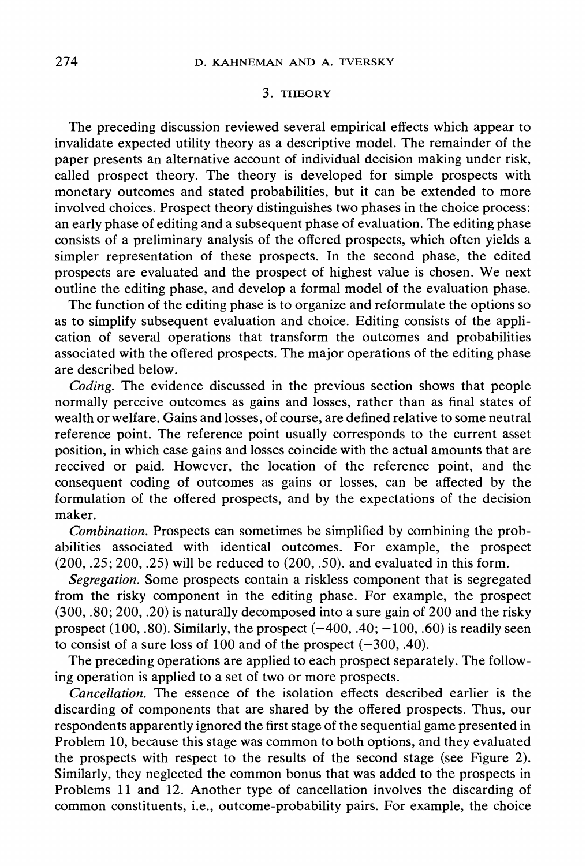#### **3. THEORY**

**The preceding discussion reviewed several empirical effects which appear to invalidate expected utility theory as a descriptive model. The remainder of the paper presents an alternative account of individual decision making under risk, called prospect theory. The theory is developed for simple prospects with monetary outcomes and stated probabilities, but it can be extended to more involved choices. Prospect theory distinguishes two phases in the choice process: an early phase of editing and a subsequent phase of evaluation. The editing phase consists of a preliminary analysis of the offered prospects, which often yields a simpler representation of these prospects. In the second phase, the edited prospects are evaluated and the prospect of highest value is chosen. We next outline the editing phase, and develop a formal model of the evaluation phase.** 

**The function of the editing phase is to organize and reformulate the options so as to simplify subsequent evaluation and choice. Editing consists of the application of several operations that transform the outcomes and probabilities associated with the offered prospects. The major operations of the editing phase are described below.** 

**Coding. The evidence discussed in the previous section shows that people normally perceive outcomes as gains and losses, rather than as final states of wealth or welfare. Gains and losses, of course, are defined relative to some neutral reference point. The reference point usually corresponds to the current asset position, in which case gains and losses coincide with the actual amounts that are received or paid. However, the location of the reference point, and the consequent coding of outcomes as gains or losses, can be affected by the formulation of the offered prospects, and by the expectations of the decision maker.** 

**Combination. Prospects can sometimes be simplified by combining the probabilities associated with identical outcomes. For example, the prospect (200, .25; 200, .25) will be reduced to (200, .50). and evaluated in this form.** 

**Segregation. Some prospects contain a riskless component that is segregated from the risky component in the editing phase. For example, the prospect (300, .80; 200, .20) is naturally decomposed into a sure gain of 200 and the risky prospect** (100, .80). Similarly, the prospect  $(-400, .40; -100, .60)$  is readily seen to consist of a sure loss of  $100$  and of the prospect  $(-300, .40)$ .

**The preceding operations are applied to each prospect separately. The following operation is applied to a set of two or more prospects.** 

**Cancellation. The essence of the isolation effects described earlier is the discarding of components that are shared by the offered prospects. Thus, our respondents apparently ignored the first stage of the sequential game presented in Problem 10, because this stage was common to both options, and they evaluated the prospects with respect to the results of the second stage (see Figure 2). Similarly, they neglected the common bonus that was added to the prospects in Problems 11 and 12. Another type of cancellation involves the discarding of common constituents, i.e., outcome-probability pairs. For example, the choice**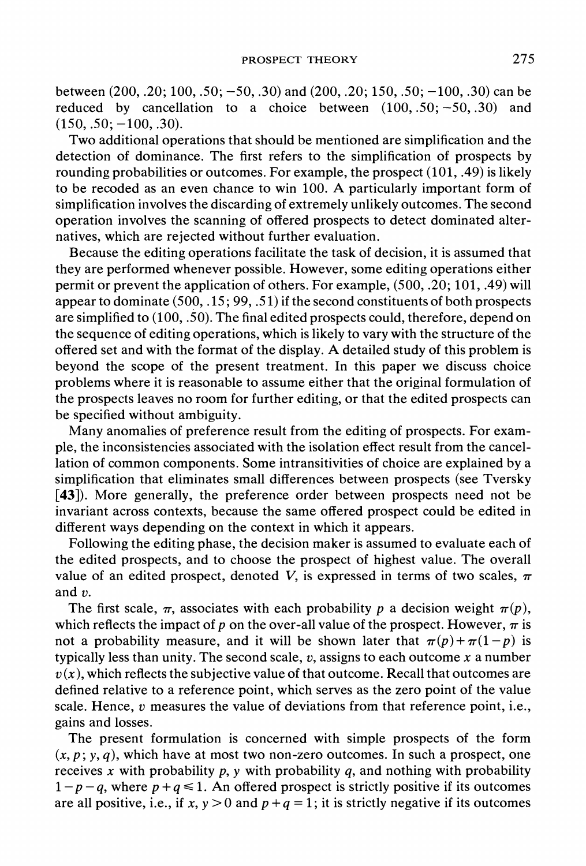**between (200, .20; 100, .50; -50, .30) and (200, .20; 150, .50; -100, .30) can be reduced by cancellation to a choice between (100,.50; -50,.30) and**   $(150, .50; -100, .30).$ 

**Two additional operations that should be mentioned are simplification and the detection of dominance. The first refers to the simplification of prospects by rounding probabilities or outcomes. For example, the prospect (101, .49) is likely to be recoded as an even chance to win 100. A particularly important form of simplification involves the discarding of extremely unlikely outcomes. The second operation involves the scanning of offered prospects to detect dominated alternatives, which are rejected without further evaluation.** 

**Because the editing operations facilitate the task of decision, it is assumed that they are performed whenever possible. However, some editing operations either permit or prevent the application of others. For example, (500, .20; 101, .49) will appear to dominate (500, .15; 99, .51) if the second constituents of both prospects are simplified to (100, .50). The final edited prospects could, therefore, depend on the sequence of editing operations, which is likely to vary with the structure of the offered set and with the format of the display. A detailed study of this problem is beyond the scope of the present treatment. In this paper we discuss choice problems where it is reasonable to assume either that the original formulation of the prospects leaves no room for further editing, or that the edited prospects can be specified without ambiguity.** 

**Many anomalies of preference result from the editing of prospects. For example, the inconsistencies associated with the isolation effect result from the cancellation of common components. Some intransitivities of choice are explained by a simplification that eliminates small differences between prospects (see Tversky [43]). More generally, the preference order between prospects need not be invariant across contexts, because the same offered prospect could be edited in different ways depending on the context in which it appears.** 

**Following the editing phase, the decision maker is assumed to evaluate each of the edited prospects, and to choose the prospect of highest value. The overall**  value of an edited prospect, denoted V, is expressed in terms of two scales,  $\pi$ **and v.** 

The first scale,  $\pi$ , associates with each probability p a decision weight  $\pi(p)$ , which reflects the impact of p on the over-all value of the prospect. However,  $\pi$  is not a probability measure, and it will be shown later that  $\pi(p) + \pi(1-p)$  is typically less than unity. The second scale,  $v$ , assigns to each outcome  $x$  a number  $v(x)$ , which reflects the subjective value of that outcome. Recall that outcomes are **defined relative to a reference point, which serves as the zero point of the value scale. Hence, v measures the value of deviations from that reference point, i.e., gains and losses.** 

**The present formulation is concerned with simple prospects of the form (x, p; y, q), which have at most two non-zero outcomes. In such a prospect, one**  receives x with probability  $p$ , y with probability  $q$ , and nothing with probability  $1-p-q$ , where  $p+q \leq 1$ . An offered prospect is strictly positive if its outcomes are all positive, i.e., if  $x, y > 0$  and  $p + q = 1$ ; it is strictly negative if its outcomes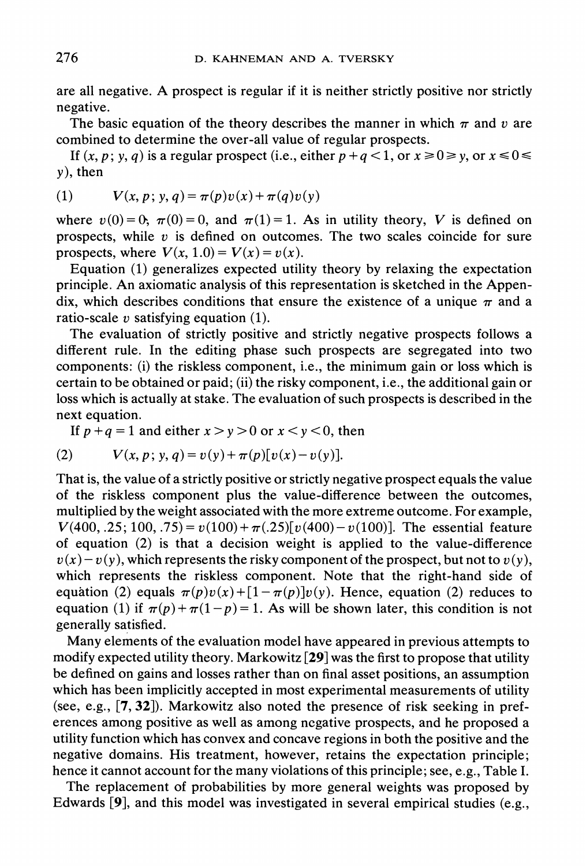**are all negative. A prospect is regular if it is neither strictly positive nor strictly negative.** 

The basic equation of the theory describes the manner in which  $\pi$  and  $\nu$  are **combined to determine the over-all value of regular prospects.** 

If  $(x, p; y, q)$  is a regular prospect (i.e., either  $p + q < 1$ , or  $x \ge 0 \ge y$ , or  $x \le 0 \le$ **y), then** 

(1) 
$$
V(x, p; y, q) = \pi(p)v(x) + \pi(q)v(y)
$$

where  $v(0) = 0$ ,  $\pi(0) = 0$ , and  $\pi(1) = 1$ . As in utility theory, V is defined on **prospects, while v is defined on outcomes. The two scales coincide for sure**  prospects, where  $V(x, 1.0) = V(x) = v(x)$ .

**Equation (1) generalizes expected utility theory by relaxing the expectation principle. An axiomatic analysis of this representation is sketched in the Appen**dix, which describes conditions that ensure the existence of a unique  $\pi$  and a **ratio-scale v satisfying equation (1).** 

**The evaluation of strictly positive and strictly negative prospects follows a different rule. In the editing phase such prospects are segregated into two components: (i) the riskless component, i.e., the minimum gain or loss which is certain to be obtained or paid; (ii) the risky component, i.e., the additional gain or loss which is actually at stake. The evaluation of such prospects is described in the next equation.** 

If  $p + q = 1$  and either  $x > y > 0$  or  $x < y < 0$ , then

(2) 
$$
V(x, p; y, q) = v(y) + \pi(p)[v(x) - v(y)].
$$

**That is, the value of a strictly positive or strictly negative prospect equals the value of the riskless component plus the value-difference between the outcomes, multiplied by the weight associated with the more extreme outcome. For example,**   $V(400, .25; 100, .75) = v(100) + \pi(.25)[v(400) - v(100)].$  The essential feature **of equation (2) is that a decision weight is applied to the value-difference**   $v(x) - v(y)$ , which represents the risky component of the prospect, but not to  $v(y)$ , **which represents the riskless component. Note that the right-hand side of**  equation (2) equals  $\pi(p)v(x) + [1-\pi(p)]v(y)$ . Hence, equation (2) reduces to equation (1) if  $\pi(p) + \pi(1-p) = 1$ . As will be shown later, this condition is not **generally satisfied.** 

**Many elements of the evaluation model have appeared in previous attempts to modify expected utility theory. Markowitz [29] was the first to propose that utility be defined on gains and losses rather than on final asset positions, an assumption which has been implicitly accepted in most experimental measurements of utility (see, e.g., [7, 32]). Markowitz also noted the presence of risk seeking in preferences among positive as well as among negative prospects, and he proposed a utility function which has convex and concave regions in both the positive and the negative domains. His treatment, however, retains the expectation principle; hence it cannot account for the many violations of this principle; see, e.g., Table I.** 

**The replacement of probabilities by more general weights was proposed by Edwards [9], and this model was investigated in several empirical studies (e.g.,**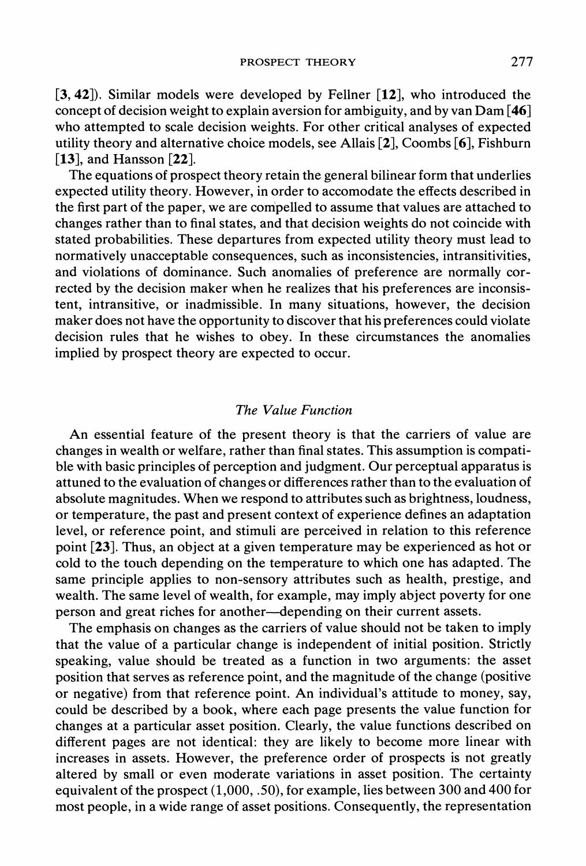**[3, 42]). Similar models were developed by Fellner [12], who introduced the concept of decision weight to explain aversion for ambiguity, and by van Dam [46] who attempted to scale decision weights. For other critical analyses of expected utility theory and alternative choice models, see Allais [2], Coombs [6], Fishburn [13], and Hansson [22].** 

**The equations of prospect theory retain the general bilinear form that underlies expected utility theory. However, in order to accomodate the effects described in the first part of the paper, we are compelled to assume that values are attached to changes rather than to final states, and that decision weights do not coincide with stated probabilities. These departures from expected utility theory must lead to normatively unacceptable consequences, such as inconsistencies, intransitivities, and violations of dominance. Such anomalies of preference are normally corrected by the decision maker when he realizes that his preferences are inconsistent, intransitive, or inadmissible. In many situations, however, the decision maker does not have the opportunity to discover that his preferences could violate decision rules that he wishes to obey. In these circumstances the anomalies implied by prospect theory are expected to occur.** 

## **The Value Function**

**An essential feature of the present theory is that the carriers of value are changes in wealth or welfare, rather than final states. This assumption is compatible with basic principles of perception and judgment. Our perceptual apparatus is attuned to the evaluation of changes or differences rather than to the evaluation of absolute magnitudes. When we respond to attributes such as brightness, loudness, or temperature, the past and present context of experience defines an adaptation level, or reference point, and stimuli are perceived in relation to this reference point [23]. Thus, an object at a given temperature may be experienced as hot or cold to the touch depending on the temperature to which one has adapted. The same principle applies to non-sensory attributes such as health, prestige, and wealth. The same level of wealth, for example, may imply abject poverty for one person and great riches for another-depending on their current assets.** 

**The emphasis on changes as the carriers of value should not be taken to imply that the value of a particular change is independent of initial position. Strictly speaking, value should be treated as a function in two arguments: the asset position that serves as reference point, and the magnitude of the change (positive or negative) from that reference point. An individual's attitude to money, say, could be described by a book, where each page presents the value function for changes at a particular asset position. Clearly, the value functions described on different pages are not identical: they are likely to become more linear with increases in assets. However, the preference order of prospects is not greatly altered by small or even moderate variations in asset position. The certainty equivalent of the prospect (1,000, .50), for example, lies between 300 and 400 for most people, in a wide range of asset positions. Consequently, the representation**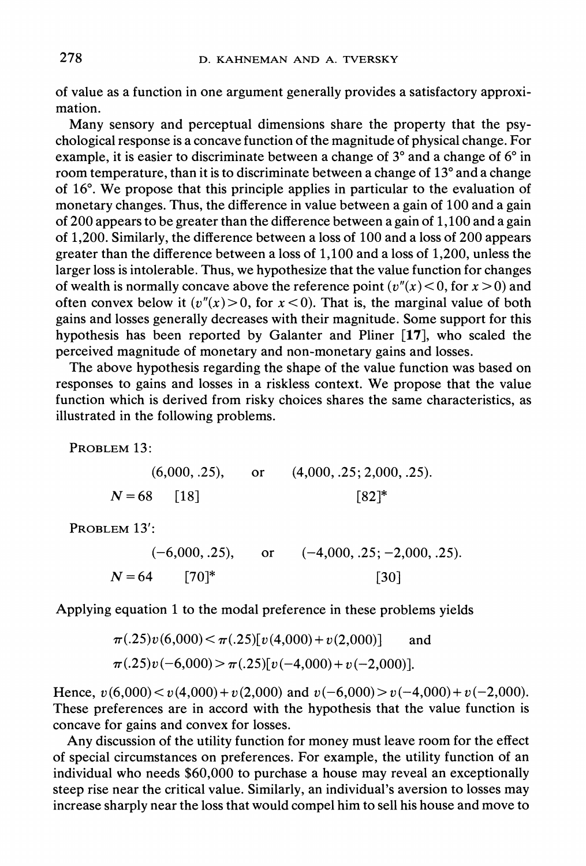**of value as a function in one argument generally provides a satisfactory approximation.** 

**Many sensory and perceptual dimensions share the property that the psychological response is a concave function of the magnitude of physical change. For example, it is easier to discriminate between a change of 3<sup>°</sup> and a change of 6<sup>°</sup> in room temperature, than it is to discriminate between a change of 130 and a change of 160. We propose that this principle applies in particular to the evaluation of monetary changes. Thus, the difference in value between a gain of 100 and a gain of 200 appears to be greater than the difference between a gain of 1,100 and a gain of 1,200. Similarly, the difference between a loss of 100 and a loss of 200 appears greater than the difference between a loss of 1,100 and a loss of 1,200, unless the larger loss is intolerable. Thus, we hypothesize that the value function for changes**  of wealth is normally concave above the reference point  $(v''(x) < 0$ , for  $x > 0$ ) and often convex below it  $(v''(x) > 0$ , for  $x < 0$ ). That is, the marginal value of both **gains and losses generally decreases with their magnitude. Some support for this hypothesis has been reported by Galanter and Pliner [17], who scaled the perceived magnitude of monetary and non-monetary gains and losses.** 

**The above hypothesis regarding the shape of the value function was based on responses to gains and losses in a riskless context. We propose that the value function which is derived from risky choices shares the same characteristics, as illustrated in the following problems.** 

**PROBLEM 13:** 

**(6,000, .25), or (4,000, .25; 2,000, .25).**   $N = 68$  [18] [82]\*

**PROBLEM 13':** 

**(-6,000, .25), or (-4,000,.25; -2,000,.25).**   $N=64$  [70]\* [30]

**Applying equation 1 to the modal preference in these problems yields** 

$$
\pi(.25)v(6,000) < \pi(.25)[v(4,000) + v(2,000)] \quad \text{and} \quad \pi(.25)v(-6,000) > \pi(.25)[v(-4,000) + v(-2,000)].
$$

Hence,  $v(6,000) < v(4,000) + v(2,000)$  and  $v(-6,000) > v(-4,000) + v(-2,000)$ . **These preferences are in accord with the hypothesis that the value function is concave for gains and convex for losses.** 

**Any discussion of the utility function for money must leave room for the effect of special circumstances on preferences. For example, the utility function of an individual who needs \$60,000 to purchase a house may reveal an exceptionally steep rise near the critical value. Similarly, an individual's aversion to losses may increase sharply near the loss that would compel him to sell his house and move to**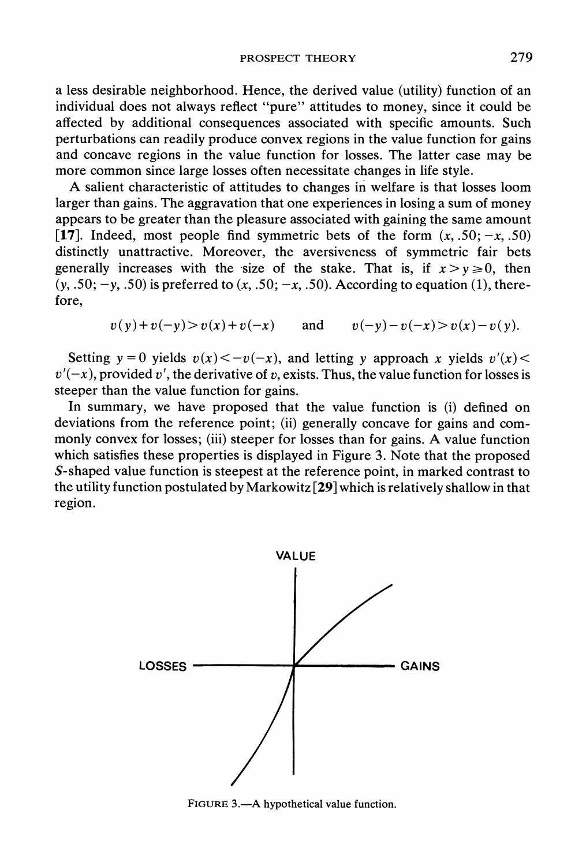**PROSPECT THEORY 279** 

**a less desirable neighborhood. Hence, the derived value (utility) function of an individual does not always reflect "pure" attitudes to money, since it could be affected by additional consequences associated with specific amounts. Such perturbations can readily produce convex regions in the value function for gains and concave regions in the value function for losses. The latter case may be more common since large losses often necessitate changes in life style.** 

**A salient characteristic of attitudes to changes in welfare is that losses loom larger than gains. The aggravation that one experiences in losing a sum of money appears to be greater than the pleasure associated with gaining the same amount**  [17]. Indeed, most people find symmetric bets of the form  $(x, .50; -x, .50)$ **distinctly unattractive. Moreover, the aversiveness of symmetric fair bets**  generally increases with the size of the stake. That is, if  $x > y \ge 0$ , then  $(y, .50; -y, .50)$  is preferred to  $(x, .50; -x, .50)$ . According to equation (1), there**fore,** 

$$
v(y)+v(-y) > v(x)+v(-x)
$$
 and  $v(-y)-v(-x) > v(x)-v(y)$ .

Setting  $y = 0$  yields  $v(x) < -v(-x)$ , and letting y approach x yields  $v'(x) <$  $v'(-x)$ , provided v', the derivative of v, exists. Thus, the value function for losses is **steeper than the value function for gains.** 

**In summary, we have proposed that the value function is (i) defined on deviations from the reference point; (ii) generally concave for gains and commonly convex for losses; (iii) steeper for losses than for gains. A value function which satisfies these properties is displayed in Figure 3. Note that the proposed S-shaped value function is steepest at the reference point, in marked contrast to the utility function postulated by Markowitz [29] which is relatively shallow in that region.** 



FIGURE 3.—A hypothetical value function.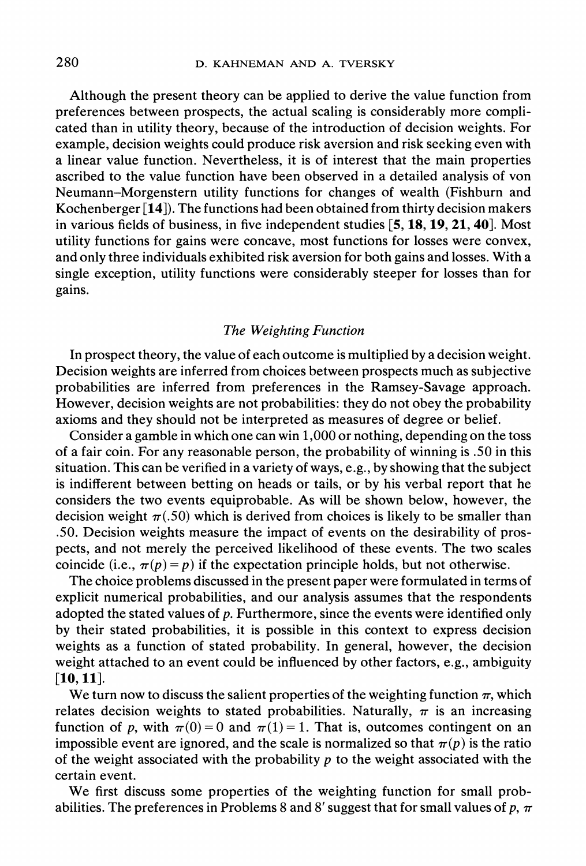**Although the present theory can be applied to derive the value function from preferences between prospects, the actual scaling is considerably more complicated than in utility theory, because of the introduction of decision weights. For example, decision weights could produce risk aversion and risk seeking even with a linear value function. Nevertheless, it is of interest that the main properties ascribed to the value function have been observed in a detailed analysis of von Neumann-Morgenstern utility functions for changes of wealth (Fishburn and Kochenberger [14]). The functions had been obtained from thirty decision makers in various fields of business, in five independent studies [5, 18, 19, 21, 40]. Most utility functions for gains were concave, most functions for losses were convex, and only three individuals exhibited risk aversion for both gains and losses. With a single exception, utility functions were considerably steeper for losses than for gains.** 

#### **The Weighting Function**

**In prospect theory, the value of each outcome is multiplied by a decision weight. Decision weights are inferred from choices between prospects much as subjective probabilities are inferred from preferences in the Ramsey-Savage approach. However, decision weights are not probabilities: they do not obey the probability axioms and they should not be interpreted as measures of degree or belief.** 

**Consider a gamble in which one can win 1,000 or nothing, depending on the toss of a fair coin. For any reasonable person, the probability of winning is .50 in this situation. This can be verified in a variety of ways, e.g., by showing that the subject is indifferent between betting on heads or tails, or by his verbal report that he considers the two events equiprobable. As will be shown below, however, the**  decision weight  $\pi(.50)$  which is derived from choices is likely to be smaller than **.50. Decision weights measure the impact of events on the desirability of prospects, and not merely the perceived likelihood of these events. The two scales**  coincide (i.e.,  $\pi(p) = p$ ) if the expectation principle holds, but not otherwise.

**The choice problems discussed in the present paper were formulated in terms of explicit numerical probabilities, and our analysis assumes that the respondents adopted the stated values of p. Furthermore, since the events were identified only by their stated probabilities, it is possible in this context to express decision weights as a function of stated probability. In general, however, the decision weight attached to an event could be influenced by other factors, e.g., ambiguity [10, 11].** 

We turn now to discuss the salient properties of the weighting function  $\pi$ , which relates decision weights to stated probabilities. Naturally,  $\pi$  is an increasing function of p, with  $\pi(0) = 0$  and  $\pi(1) = 1$ . That is, outcomes contingent on an impossible event are ignored, and the scale is normalized so that  $\pi(p)$  is the ratio **of the weight associated with the probability p to the weight associated with the certain event.** 

**We first discuss some properties of the weighting function for small prob**abilities. The preferences in Problems 8 and 8' suggest that for small values of  $p$ ,  $\pi$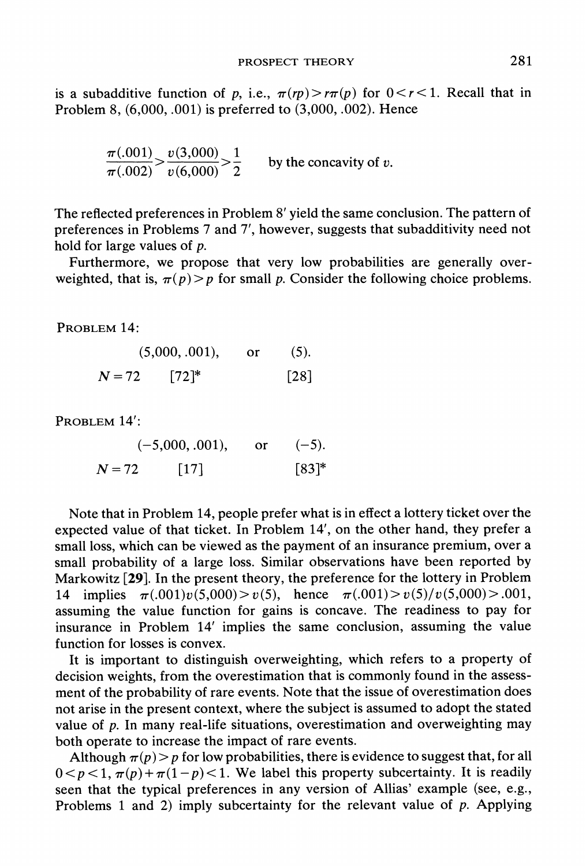is a subadditive function of p, i.e.,  $\pi$ (rp)  $\pi$ (p) for  $0 < r < 1$ . Recall that in **Problem 8, (6,000, .001) is preferred to (3,000, .002). Hence** 

$$
\frac{\pi(.001)}{\pi(.002)} > \frac{v(3,000)}{v(6,000)} > \frac{1}{2}
$$
 by the concavity of v.

**The reflected preferences in Problem 8' yield the same conclusion. The pattern of preferences in Problems 7 and 7', however, suggests that subadditivity need not hold for large values of p.** 

**Furthermore, we propose that very low probabilities are generally over**weighted, that is,  $\pi(p) > p$  for small p. Consider the following choice problems.

**PROBLEM 14:** 

**(5,000,.001), or (5).**   $N=72$  [72]\* [28]

**PROBLEM 14':** 

 $(-5,000, .001)$ , or  $(-5)$ .  $N=72$  [17] [83]\*

**Note that in Problem 14, people prefer what is in effect a lottery ticket over the expected value of that ticket. In Problem 14', on the other hand, they prefer a small loss, which can be viewed as the payment of an insurance premium, over a small probability of a large loss. Similar observations have been reported by Markowitz [29]. In the present theory, the preference for the lottery in Problem**  14 implies  $\pi(.001)v(5,000) > v(5)$ , hence  $\pi(.001) > v(5)/v(5,000) > .001$ , **assuming the value function for gains is concave. The readiness to pay for insurance in Problem 14' implies the same conclusion, assuming the value function for losses is convex.** 

**It is important to distinguish overweighting, which refers to a property of decision weights, from the overestimation that is commonly found in the assessment of the probability of rare events. Note that the issue of overestimation does not arise in the present context, where the subject is assumed to adopt the stated value of p. In many real-life situations, overestimation and overweighting may both operate to increase the impact of rare events.** 

Although  $\pi(p)$  > p for low probabilities, there is evidence to suggest that, for all  $0 < p < 1$ ,  $\pi(p) + \pi(1-p) < 1$ . We label this property subcertainty. It is readily **seen that the typical preferences in any version of Allias' example (see, e.g., Problems 1 and 2) imply subcertainty for the relevant value of p. Applying**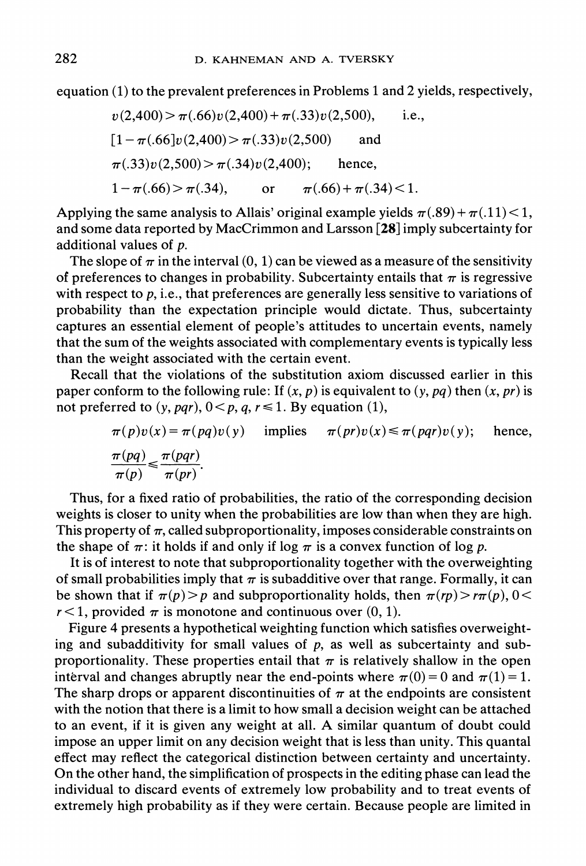**equation (1) to the prevalent preferences in Problems 1 and 2 yields, respectively,** 

$$
v(2,400) > \pi(.66)v(2,400) + \pi(.33)v(2,500),
$$
 i.e.,  
\n
$$
[1 - \pi(.66)v(2,400) > \pi(.33)v(2,500)
$$
 and  
\n
$$
\pi(.33)v(2,500) > \pi(.34)v(2,400);
$$
 hence,  
\n
$$
1 - \pi(.66) > \pi(.34),
$$
 or 
$$
\pi(.66) + \pi(.34) < 1.
$$

Applying the same analysis to Allais' original example yields  $\pi(.89) + \pi(.11) < 1$ , **and some data reported by MacCrimmon and Larsson [28] imply subcertainty for additional values of p.** 

The slope of  $\pi$  in the interval  $(0, 1)$  can be viewed as a measure of the sensitivity of preferences to changes in probability. Subcertainty entails that  $\pi$  is regressive **with respect to p, i.e., that preferences are generally less sensitive to variations of probability than the expectation principle would dictate. Thus, subcertainty captures an essential element of people's attitudes to uncertain events, namely that the sum of the weights associated with complementary events is typically less than the weight associated with the certain event.** 

**Recall that the violations of the substitution axiom discussed earlier in this**  paper conform to the following rule: If  $(x, p)$  is equivalent to  $(y, pq)$  then  $(x, pr)$  is not preferred to  $(y, pqr)$ ,  $0 < p$ ,  $q, r \le 1$ . By equation (1),

$$
\pi(p)v(x) = \pi(pq)v(y) \quad \text{implies} \quad \pi(pr)v(x) \le \pi(pqr)v(y); \quad \text{hence,}
$$
  

$$
\frac{\pi(pq)}{\pi(p)} \le \frac{\pi(pqr)}{\pi(pr)}.
$$

**Thus, for a fixed ratio of probabilities, the ratio of the corresponding decision weights is closer to unity when the probabilities are low than when they are high.**  This property of  $\pi$ , called subproportionality, imposes considerable constraints on the shape of  $\pi$ : it holds if and only if  $\log \pi$  is a convex function of  $\log p$ .

**It is of interest to note that subproportionality together with the overweighting**  of small probabilities imply that  $\pi$  is subadditive over that range. Formally, it can be shown that if  $\pi(p) > p$  and subproportionality holds, then  $\pi(np) > r\pi(p)$ , 0<  $r < 1$ , provided  $\pi$  is monotone and continuous over  $(0, 1)$ .

**Figure 4 presents a hypothetical weighting function which satisfies overweighting and subadditivity for small values of p, as well as subcertainty and sub**proportionality. These properties entail that  $\pi$  is relatively shallow in the open interval and changes abruptly near the end-points where  $\pi(0) = 0$  and  $\pi(1) = 1$ . The sharp drops or apparent discontinuities of  $\pi$  at the endpoints are consistent **with the notion that there is a limit to how small a decision weight can be attached to an event, if it is given any weight at all. A similar quantum of doubt could impose an upper limit on any decision weight that is less than unity. This quantal effect may reflect the categorical distinction between certainty and uncertainty. On the other hand, the simplification of prospects in the editing phase can lead the individual to discard events of extremely low probability and to treat events of extremely high probability as if they were certain. Because people are limited in**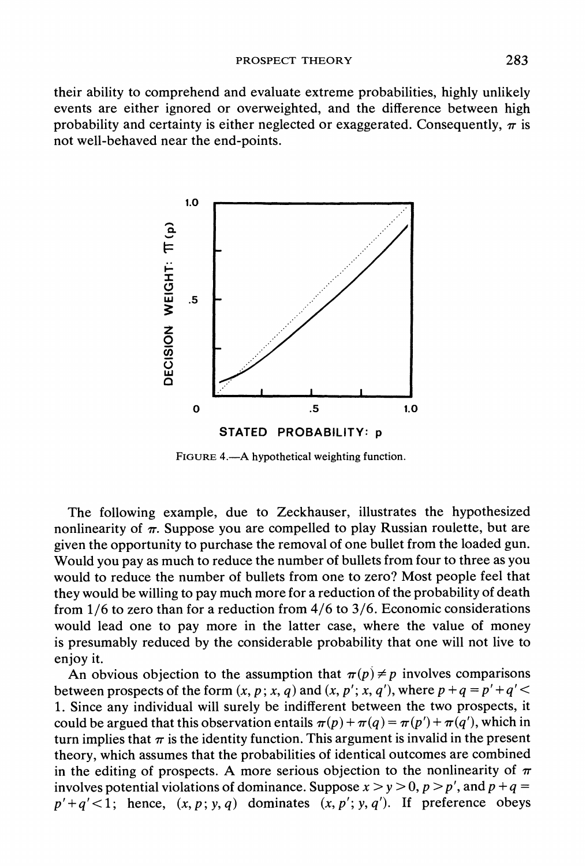**their ability to comprehend and evaluate extreme probabilities, highly unlikely events are either ignored or overweighted, and the difference between high**  probability and certainty is either neglected or exaggerated. Consequently,  $\pi$  is **not well-behaved near the end-points.** 



FIGURE 4.—A hypothetical weighting function.

**The following example, due to Zeckhauser, illustrates the hypothesized**  nonlinearity of  $\pi$ . Suppose you are compelled to play Russian roulette, but are **given the opportunity to purchase the removal of one bullet from the loaded gun. Would you pay as much to reduce the number of bullets from four to three as you would to reduce the number of bullets from one to zero? Most people feel that they would be willing to pay much more for a reduction of the probability of death from 1/6 to zero than for a reduction from 4/6 to 3/6. Economic considerations would lead one to pay more in the latter case, where the value of money is presumably reduced by the considerable probability that one will not live to enjoy it.** 

An obvious objection to the assumption that  $\pi(p) \neq p$  involves comparisons between prospects of the form  $(x, p; x, q)$  and  $(x, p'; x, q')$ , where  $p + q = p' + q' <$ **1. Since any individual will surely be indifferent between the two prospects, it could be argued that this observation entails**  $\pi(p) + \pi(q) = \pi(p') + \pi(q')$ **, which in** turn implies that  $\pi$  is the identity function. This argument is invalid in the present **theory, which assumes that the probabilities of identical outcomes are combined**  in the editing of prospects. A more serious objection to the nonlinearity of  $\pi$ involves potential violations of dominance. Suppose  $x > y > 0$ ,  $p > p'$ , and  $p + q =$  $p'+q' < 1$ ; hence,  $(x, p; y, q)$  dominates  $(x, p'; y, q')$ . If preference obeys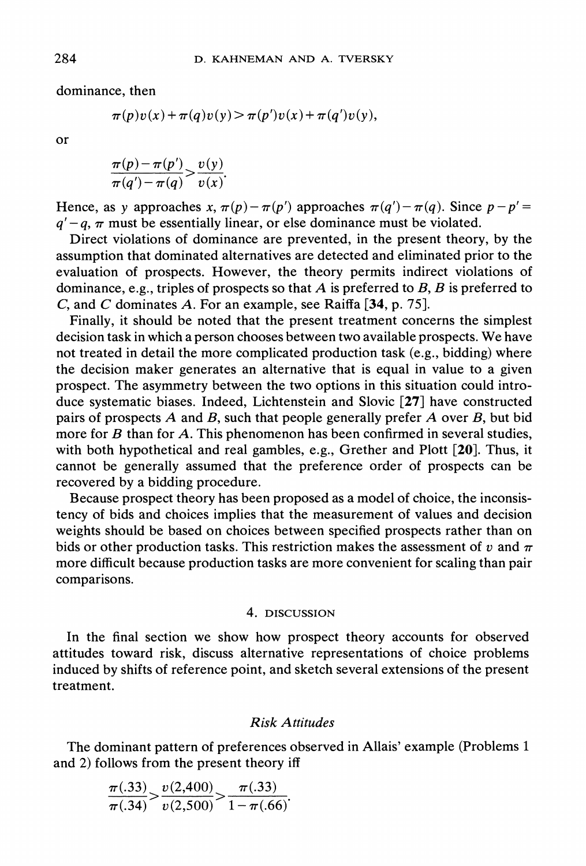**dominance, then** 

$$
\pi(p)v(x) + \pi(q)v(y) > \pi(p')v(x) + \pi(q')v(y),
$$

**or** 

$$
\frac{\pi(p)-\pi(p')}{\pi(q')-\pi(q)} > \frac{v(y)}{v(x)}.
$$

**Hence, as y approaches x,**  $\pi(p) - \pi(p')$  **approaches**  $\pi(q') - \pi(q)$ **. Since**  $p - p' =$  $q' - q$ ,  $\pi$  must be essentially linear, or else dominance must be violated.

**Direct violations of dominance are prevented, in the present theory, by the assumption that dominated alternatives are detected and eliminated prior to the evaluation of prospects. However, the theory permits indirect violations of dominance, e.g., triples of prospects so that A is preferred to B, B is preferred to C, and C dominates A. For an example, see Raiffa [34, p. 75].** 

**Finally, it should be noted that the present treatment concerns the simplest decision task in which a person chooses between two available prospects. We have not treated in detail the more complicated production task (e.g., bidding) where the decision maker generates an alternative that is equal in value to a given prospect. The asymmetry between the two options in this situation could introduce systematic biases. Indeed, Lichtenstein and Slovic [27] have constructed pairs of prospects A and B, such that people generally prefer A over B, but bid more for B than for A. This phenomenon has been confirmed in several studies, with both hypothetical and real gambles, e.g., Grether and Plott [20]. Thus, it cannot be generally assumed that the preference order of prospects can be recovered by a bidding procedure.** 

**Because prospect theory has been proposed as a model of choice, the inconsistency of bids and choices implies that the measurement of values and decision weights should be based on choices between specified prospects rather than on**  bids or other production tasks. This restriction makes the assessment of  $v$  and  $\pi$ **more difficult because production tasks are more convenient for scaling than pair comparisons.** 

## **4. DISCUSSION**

**In the final section we show how prospect theory accounts for observed attitudes toward risk, discuss alternative representations of choice problems induced by shifts of reference point, and sketch several extensions of the present treatment.** 

#### **Risk Attitudes**

**The dominant pattern of preferences observed in Allais' example (Problems 1 and 2) follows from the present theory iff** 

$$
\frac{\pi(.33)}{\pi(.34)} > \frac{v(2,400)}{v(2,500)} > \frac{\pi(.33)}{1 - \pi(.66)}.
$$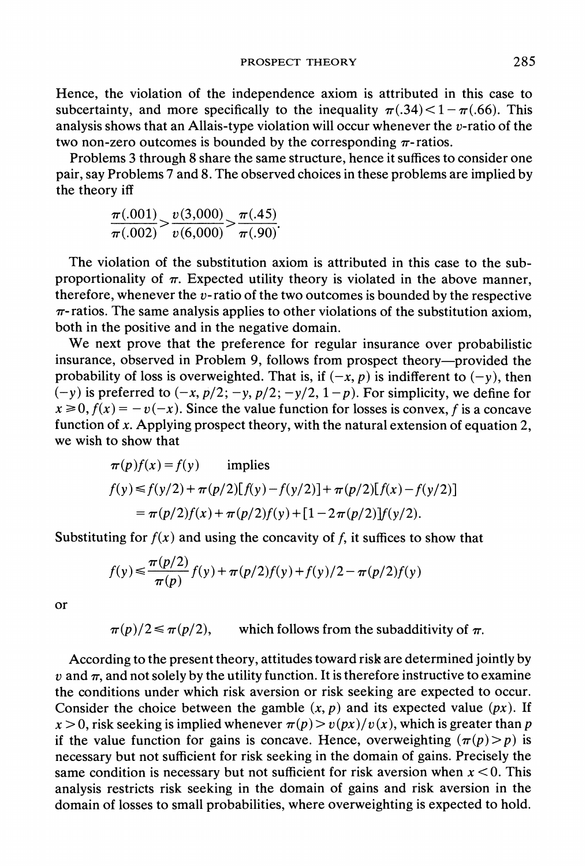**Hence, the violation of the independence axiom is attributed in this case to**  subcertainty, and more specifically to the inequality  $\pi(.34) < 1 - \pi(.66)$ . This **analysis shows that an Allais-type violation will occur whenever the v-ratio of the**  two non-zero outcomes is bounded by the corresponding  $\pi$ -ratios.

**Problems 3 through 8 share the same structure, hence it suffices to consider one pair, say Problems 7 and 8. The observed choices in these problems are implied by the theory iff** 

$$
\frac{\pi(.001)}{\pi(.002)} > \frac{v(3,000)}{v(6,000)} > \frac{\pi(.45)}{\pi(.90)}.
$$

**The violation of the substitution axiom is attributed in this case to the sub**proportionality of  $\pi$ . Expected utility theory is violated in the above manner, **therefore, whenever the v- ratio of the two outcomes is bounded by the respective 7r- ratios. The same analysis applies to other violations of the substitution axiom, both in the positive and in the negative domain.** 

**We next prove that the preference for regular insurance over probabilistic insurance, observed in Problem 9, follows from prospect theory-provided the**  probability of loss is overweighted. That is, if  $(-x, p)$  is indifferent to  $(-y)$ , then  $(-y)$  is preferred to  $(-x, p/2; -y, p/2; -y/2, 1-p)$ . For simplicity, we define for  $x \ge 0$ ,  $f(x) = -v(-x)$ . Since the value function for losses is convex, f is a concave **function of x. Applying prospect theory, with the natural extension of equation 2, we wish to show that** 

$$
\pi(p)f(x) = f(y) \quad \text{implies}
$$
\n
$$
f(y) \le f(y/2) + \pi(p/2)[f(y) - f(y/2)] + \pi(p/2)[f(x) - f(y/2)]
$$
\n
$$
= \pi(p/2)f(x) + \pi(p/2)f(y) + [1 - 2\pi(p/2)]f(y/2).
$$

Substituting for  $f(x)$  and using the concavity of f, it suffices to show that

$$
f(y) \le \frac{\pi(p/2)}{\pi(p)} f(y) + \pi(p/2)f(y) + f(y)/2 - \pi(p/2)f(y)
$$

**or** 

 $\pi(p)/2 \leq \pi(p/2)$ , which follows from the subadditivity of  $\pi$ .

**According to the present theory, attitudes toward risk are determined jointly by**   $v$  and  $\pi$ , and not solely by the utility function. It is therefore instructive to examine **the conditions under which risk aversion or risk seeking are expected to occur.**  Consider the choice between the gamble  $(x, p)$  and its expected value  $(px)$ . If  $x > 0$ , risk seeking is implied whenever  $\pi(p) > v(px)/v(x)$ , which is greater than p if the value function for gains is concave. Hence, overweighting  $(\pi(p) > p)$  is **necessary but not sufficient for risk seeking in the domain of gains. Precisely the**  same condition is necessary but not sufficient for risk aversion when  $x < 0$ . This **analysis restricts risk seeking in the domain of gains and risk aversion in the domain of losses to small probabilities, where overweighting is expected to hold.**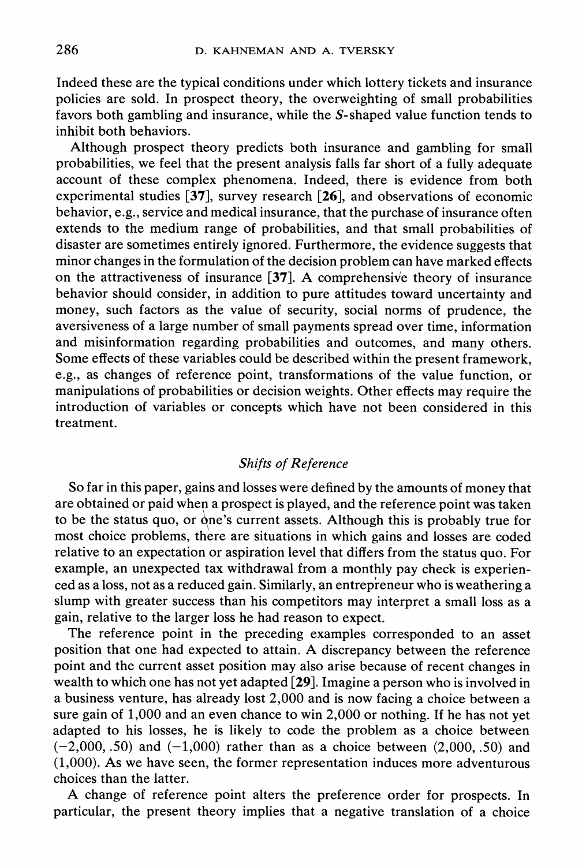**Indeed these are the typical conditions under which lottery tickets and insurance policies are sold. In prospect theory, the overweighting of small probabilities favors both gambling and insurance, while the S-shaped value function tends to inhibit both behaviors.** 

**Although prospect theory predicts both insurance and gambling for small probabilities, we feel that the present analysis falls far short of a fully adequate account of these complex phenomena. Indeed, there is evidence from both experimental studies [37], survey research [26], and observations of economic behavior, e.g., service and medical insurance, that the purchase of insurance often extends to the medium range of probabilities, and that small probabilities of disaster are sometimes entirely ignored. Furthermore, the evidence suggests that minor changes in the formulation of the decision problem can have marked effects on the attractiveness of insurance [37]. A comprehensive theory of insurance behavior should consider, in addition to pure attitudes toward uncertainty and money, such factors as the value of security, social norms of prudence, the aversiveness of a large number of small payments spread over time, information and misinformation regarding probabilities and outcomes, and many others. Some effects of these variables could be described within the present framework, e.g., as changes of reference point, transformations of the value function, or manipulations of probabilities or decision weights. Other effects may require the introduction of variables or concepts which have not been considered in this treatment.** 

## **Shifts of Reference**

**So far in this paper, gains and losses were defined by the amounts of money that are obtained or paid when a prospect is played, and the reference point was taken to be the status quo, or one's current assets. Although this is probably true for most choice problems, there are situations in which gains and losses are coded relative to an expectation or aspiration level that differs from the status quo. For example, an unexpected tax withdrawal from a monthly pay check is experienced as a loss, not as a reduced gain. Similarly, an entrepreneur who is weathering a slump with greater success than his competitors may interpret a small loss as a gain, relative to the larger loss he had reason to expect.** 

**The reference point in the preceding examples corresponded to an asset position that one had expected to attain. A discrepancy between the reference point and the current asset position may also arise because of recent changes in wealth to which one has not yet adapted [29]. Imagine a person who is involved in a business venture, has already lost 2,000 and is now facing a choice between a sure gain of 1,000 and an even chance to win 2,000 or nothing. If he has not yet adapted to his losses, he is likely to code the problem as a choice between**   $(-2,000, .50)$  and  $(-1,000)$  rather than as a choice between  $(2,000, .50)$  and **(1,000). As we have seen, the former representation induces more adventurous choices than the latter.** 

**A change of reference point alters the preference order for prospects. In particular, the present theory implies that a negative translation of a choice**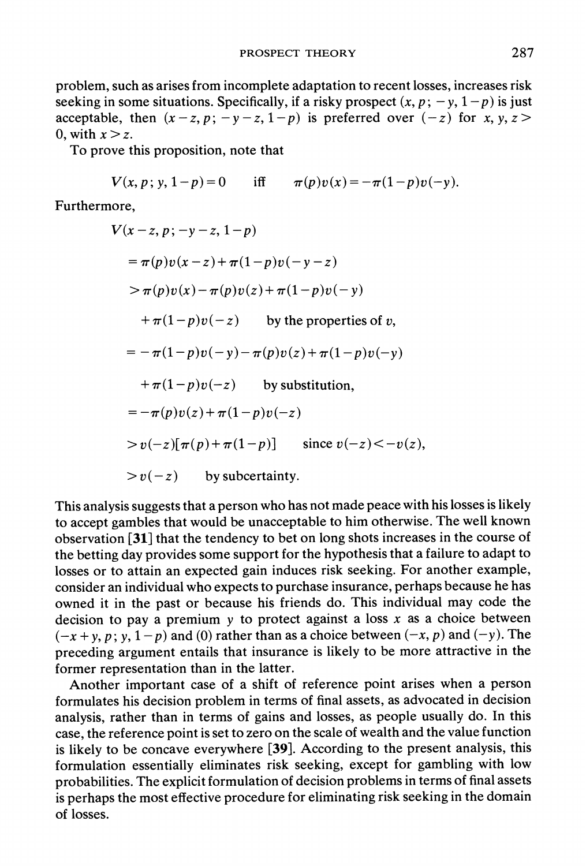**problem, such as arises from incomplete adaptation to recent losses, increases risk**  seeking in some situations. Specifically, if a risky prospect  $(x, p; -y, 1-p)$  is just acceptable, then  $(x - z, p; -y - z, 1-p)$  is preferred over  $(-z)$  for x, y, z> 0, with  $x > z$ .

**To prove this proposition, note that** 

 $V(x, p; y, 1-p) = 0$  iff  $\pi(p)v(x) = -\pi(1-p)v(-y)$ .

**Furthermore,** 

$$
V(x-z, p; -y-z, 1-p)
$$
  
=  $\pi(p)v(x-z) + \pi(1-p)v(-y-z)$   
>  $\pi(p)v(x) - \pi(p)v(z) + \pi(1-p)v(-y)$   
+  $\pi(1-p)v(-z)$  by the properties of v,  
=  $-\pi(1-p)v(-y) - \pi(p)v(z) + \pi(1-p)v(-y)$   
+  $\pi(1-p)v(-z)$  by substitution,  
=  $-\pi(p)v(z) + \pi(1-p)v(-z)$   
>  $v(-z)[\pi(p) + \pi(1-p)]$  since  $v(-z) < -v(z)$ ,  
>  $v(-z)$  by subcertainty.

**This analysis suggests that a person who has not made peace with his losses is likely to accept gambles that would be unacceptable to him otherwise. The well known observation [31] that the tendency to bet on long shots increases in the course of the betting day provides some support for the hypothesis that a failure to adapt to losses or to attain an expected gain induces risk seeking. For another example, consider an individual who expects to purchase insurance, perhaps because he has owned it in the past or because his friends do. This individual may code the**  decision to pay a premium  $y$  to protect against a loss  $x$  as a choice between  $(-x + y, p; y, 1 - p)$  and (0) rather than as a choice between  $(-x, p)$  and  $(-y)$ . The **preceding argument entails that insurance is likely to be more attractive in the former representation than in the latter.** 

**Another important case of a shift of reference point arises when a person formulates his decision problem in terms of final assets, as advocated in decision analysis, rather than in terms of gains and losses, as people usually do. In this case, the reference point is set to zero on the scale of wealth and the value function is likely to be concave everywhere [39]. According to the present analysis, this formulation essentially eliminates risk seeking, except for gambling with low probabilities. The explicit formulation of decision problems in terms of final assets is perhaps the most effective procedure for eliminating risk seeking in the domain of losses.**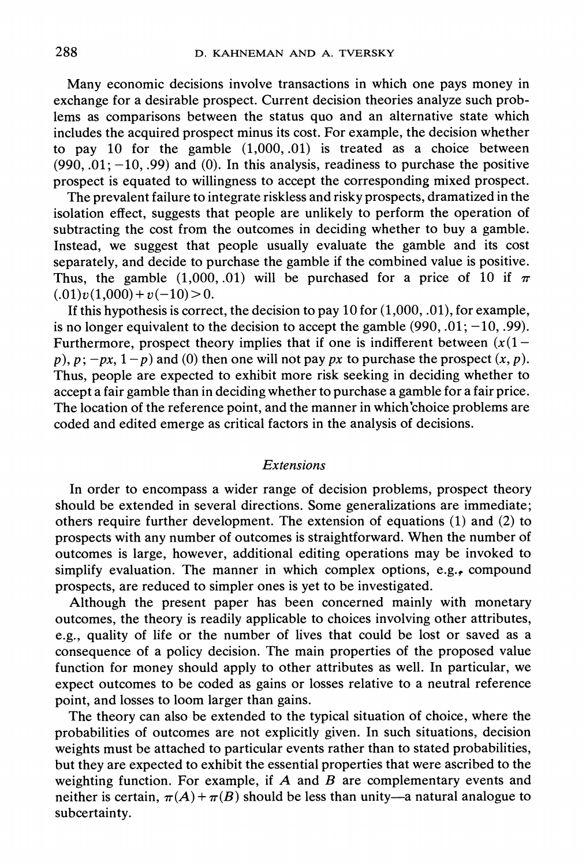**Many economic decisions involve transactions in which one pays money in exchange for a desirable prospect. Current decision theories analyze such problems as comparisons between the status quo and an alternative state which includes the acquired prospect minus its cost. For example, the decision whether to pay 10 for the gamble (1,000,.01) is treated as a choice between (990,.01; -10,.99) and (0). In this analysis, readiness to purchase the positive prospect is equated to willingness to accept the corresponding mixed prospect.** 

**The prevalent failure to integrate riskless and risky prospects, dramatized in the isolation effect, suggests that people are unlikely to perform the operation of subtracting the cost from the outcomes in deciding whether to buy a gamble. Instead, we suggest that people usually evaluate the gamble and its cost separately, and decide to purchase the gamble if the combined value is positive.**  Thus, the gamble  $(1,000,01)$  will be purchased for a price of 10 if  $\pi$  $(0.01)v(1,000)+v(-10)\geq 0.$ 

If this hypothesis is correct, the decision to pay 10 for  $(1,000, 0.01)$ , for example, is no longer equivalent to the decision to accept the gamble  $(990, .01, -10, .99)$ . Furthermore, prospect theory implies that if one is indifferent between  $(x(1$  $p$ ),  $p$ ;  $-px$ ,  $1-p$ ) and (0) then one will not pay px to purchase the prospect  $(x, p)$ . **Thus, people are expected to exhibit more risk seeking in deciding whether to accept a fair gamble than in deciding whether to purchase a gamble for a fair price. The location of the reference point, and the manner in which'choice problems are coded and edited emerge as critical factors in the analysis of decisions.** 

#### **Extensions**

**In order to encompass a wider range of decision problems, prospect theory should be extended in several directions. Some generalizations are immediate; others require further development. The extension of equations (1) and (2) to prospects with any number of outcomes is straightforward. When the number of outcomes is large, however, additional editing operations may be invoked to simplify evaluation. The manner in which complex options, e.g., compound prospects, are reduced to simpler ones is yet to be investigated.** 

**Although the present paper has been concerned mainly with monetary outcomes, the theory is readily applicable to choices involving other attributes, e.g., quality of life or the number of lives that could be lost or saved as a consequence of a policy decision. The main properties of the proposed value function for money should apply to other attributes as well. In particular, we expect outcomes to be coded as gains or losses relative to a neutral reference point, and losses to loom larger than gains.** 

**The theory can also be extended to the typical situation of choice, where the probabilities of outcomes are not explicitly given. In such situations, decision weights must be attached to particular events rather than to stated probabilities, but they are expected to exhibit the essential properties that were ascribed to the weighting function. For example, if A and B are complementary events and**  neither is certain,  $\pi(A) + \pi(B)$  should be less than unity--a natural analogue to **subcertainty.**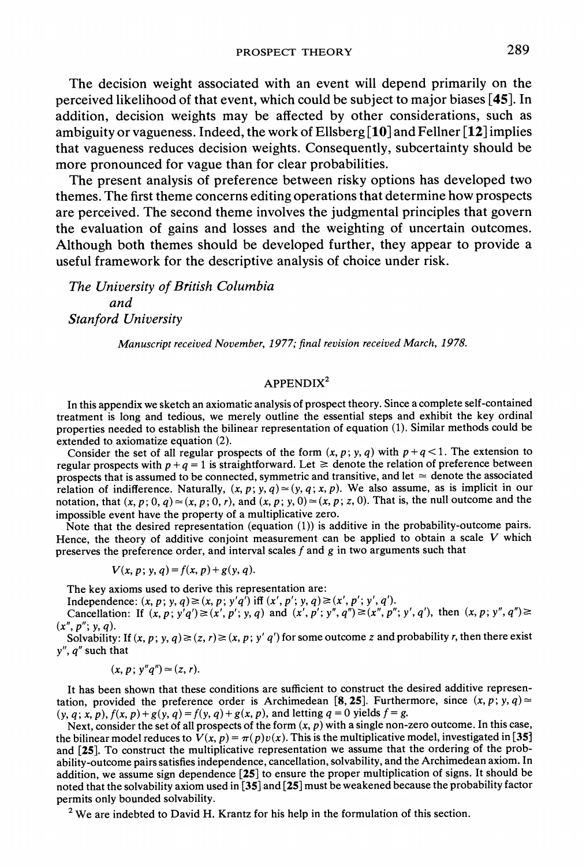**The decision weight associated with an event will depend primarily on the perceived likelihood of that event, which could be subject to major biases [45]. In addition, decision weights may be affected by other considerations, such as ambiguity or vagueness. Indeed, the work of Ellsberg [10] and Fellner [12] implies that vagueness reduces decision weights. Consequently, subcertainty should be more pronounced for vague than for clear probabilities.** 

**The present analysis of preference between risky options has developed two themes. The first theme concerns editing operations that determine how prospects are perceived. The second theme involves the judgmental principles that govern the evaluation of gains and losses and the weighting of uncertain outcomes. Although both themes should be developed further, they appear to provide a useful framework for the descriptive analysis of choice under risk.** 

**The University of British Columbia and Stanford University** 

**Manuscript received November, 1977; final revision received March, 1978.** 

## **APPENDIX2**

**In this appendix we sketch an axiomatic analysis of prospect theory. Since a complete self-contained treatment is long and tedious, we merely outline the essential steps and exhibit the key ordinal properties needed to establish the bilinear representation of equation (1). Similar methods could be extended to axiomatize equation (2).** 

Consider the set of all regular prospects of the form  $(x, p; y, q)$  with  $p + q < 1$ . The extension to regular prospects with  $p + q = 1$  is straightforward. Let  $\ge$  denote the relation of preference between prospects that is assumed to be connected, symmetric and transitive, and let  $\approx$  denote the associated relation of indifference. Naturally,  $(x, p; y, q) \approx (y, q; x, p)$ . We also assume, as is implicit in our notation, that  $(x, p; 0, q) \approx (x, p; 0, r)$ , and  $(x, p; y, 0) \approx (x, p; z, 0)$ . That is, the null outcome and the **impossible event have the property of a multiplicative zero.** 

Note that the desired representation (equation (1)) is additive in the probability-outcome pairs. **Hence, the theory of additive conjoint measurement can be applied to obtain a scale V which preserves the preference order, and interval scales f and g in two arguments such that** 

$$
V(x, p; y, q) = f(x, p) + g(y, q).
$$

**The key axioms used to derive this representation are:** 

Independence:  $(x, p; y, q) \ge (x, p; y'q')$  iff  $(x', p'; y, q) \ge (x', p'; y', q')$ .

Cancellation: If  $(x, p; y'q') \geq (x', p'; y, q)$  and  $(x', p'; y'', q'') \geq (x'', p''; y', q')$ , then  $(x, p; y'', q'') \geq (x'', p'')$  $(x'', p''; y, q)$ .

Solvability: If  $(x, p; y, q) \ge (z, r) \ge (x, p; y' q')$  for some outcome z and probability r, then there exist **y", q" such that** 

$$
(x, p; y''q'') \approx (z, r).
$$

**It has been shown that these conditions are sufficient to construct the desired additive represen**tation, provided the preference order is Archimedean [8, 25]. Furthermore, since  $(x, p; y, q) \approx$  $(y, q; x, p)$ ,  $f(x, p) + g(y, q) = f(y, q) + g(x, p)$ , and letting  $q = 0$  yields  $f = g$ .

**Next, consider the set of all prospects of the form (x, p) with a single non-zero outcome. In this case,**  the bilinear model reduces to  $V(x, p) = \pi(p)v(x)$ . This is the multiplicative model, investigated in [35] **and [25]. To construct the multiplicative representation we assume that the ordering of the probability-outcome pairs satisfies independence, cancellation, solvability, and the Archimedean axiom. In addition, we assume sign dependence [25] to ensure the proper multiplication of signs. It should be noted that the solvability axiom used in [35] and [25] must be weakened because the probability factor permits only bounded solvability.** 

**<sup>2</sup>We are indebted to David H. Krantz for his help in the formulation of this section.**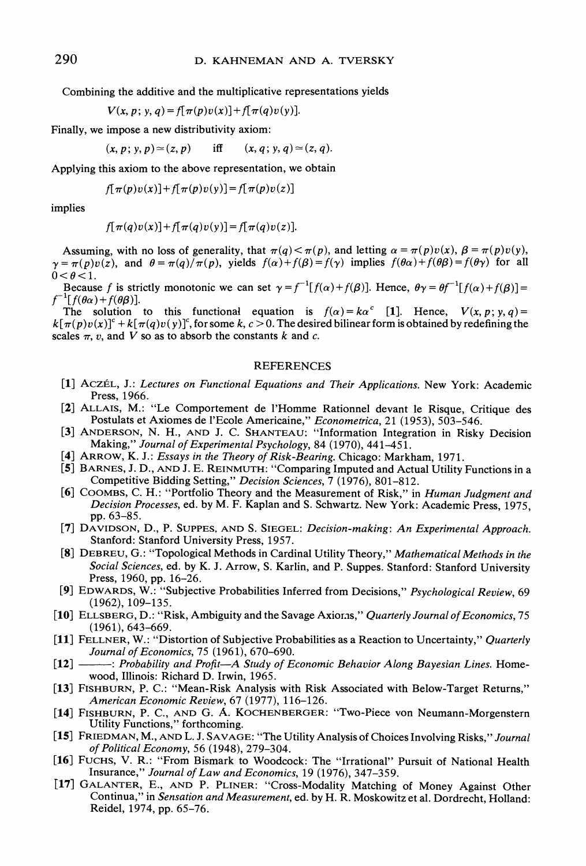**Combining the additive and the multiplicative representations yields** 

$$
V(x, p; y, q) = f[\pi(p)v(x)] + f[\pi(q)v(y)].
$$

**Finally, we impose a new distributivity axiom:** 

$$
(x, p; y, p) \approx (z, p) \quad \text{iff} \quad (x, q; y, q) \approx (z, q).
$$

**Applying this axiom to the above representation, we obtain** 

$$
f[\pi(p)v(x)]+f[\pi(p)v(y)]=f[\pi(p)v(z)]
$$

**implies** 

$$
f[\pi(q)v(x)]+f[\pi(q)v(y)]=f[\pi(q)v(z)].
$$

Assuming, with no loss of generality, that  $\pi(q) < \pi(p)$ , and letting  $\alpha = \pi(p)v(x)$ ,  $\beta = \pi(p)v(y)$ ,  $\gamma = \pi(p)v(z)$ , and  $\theta = \pi(q)/\pi(p)$ , yields  $f(\alpha) + f(\beta) = f(\gamma)$  implies  $f(\theta \alpha) + f(\theta \beta) = f(\theta \gamma)$  for all  $0 < \theta < 1$ .

**Because f** is strictly monotonic we can set  $\gamma = f^{-1}[f(\alpha) + f(\beta)]$ . Hence,  $\theta \gamma = \theta f^{-1}[f(\alpha) + f(\beta)] =$  $f^{-1}[f(\theta\alpha) + f(\theta\beta)].$ 

The solution to this functional equation is  $f(\alpha) = k\alpha^c$  [1]. Hence,  $V(x, p; y, q) =$  $k[\pi(p)v(x)]^c + k[\pi(q)v(y)]^c$ , for some k,  $c > 0$ . The desired bilinear form is obtained by redefining the scales  $\pi$ ,  $v$ , and  $V$  so as to absorb the constants  $k$  and  $c$ .

#### **REFERENCES**

- **[1] ACZEL, J.: Lectures on Functional Equations and Their Applications. New York: Academic Press, 1966.**
- **[2] ALLAIS, M.: "Le Comportement de l'Homme Rationnel devant le Risque, Critique des Postulats et Axiomes de l'Ecole Americaine," Econometrica, 21 (1953), 503-546.**
- **[3] ANDERSON, N. H., AND J. C. SHANTEAU: "Information Integration in Risky Decision Making," Journal of Experimental Psychology, 84 (1970), 441-451.**
- **[4] ARROW, K. J.: Essays in the Theory of Risk-Bearing. Chicago: Markham, 1971.**
- **[5] BARNES, J. D., AND J. E. REINMUTH: "Comparing Imputed and Actual Utility Functions in a Competitive Bidding Setting," Decision Sciences, 7 (1976), 801-812.**
- **[6] COOMBS, C. H.: "Portfolio Theory and the Measurement of Risk," in Human Judgment and Decision Processes, ed. by M. F. Kaplan and S. Schwartz. New York: Academic Press, 1975, pp. 63-85.**
- **[7] DAVIDSON, D., P. SUPPES, AND S. SIEGEL: Decision-making: An Experimental Approach. Stanford: Stanford University Press, 1957.**
- **[8] DEBREU, G.: "Topological Methods in Cardinal Utility Theory," Mathematical Methods in the Social Sciences, ed. by K. J. Arrow, S. Karlin, and P. Suppes. Stanford: Stanford University Press, 1960, pp. 16-26.**
- **[9] EDWARDS, W.: "Subjective Probabilities Inferred from Decisions," Psychological Review, 69 (1962), 109-135.**
- [10] ELLSBERG, D.: "Risk, Ambiguity and the Savage Axions," Quarterly Journal of Economics, 75 **(1961), 643-669.**
- **[11] FELLNER, W.: "Distortion of Subjective Probabilities as a Reaction to Uncertainty," Quarterly Journal of Economics, 75 (1961), 670-690.**
- **[12] : Probability and Profit-A Study of Economic Behavior Along Bayesian Lines. Homewood, Illinois: Richard D. Irwin, 1965.**
- **[13] FISHBURN, P. C.: "Mean-Risk Analysis with Risk Associated with Below-Target Returns," American Economic Review, 67 (1977), 116-126.**
- **[14] FISHBURN, P. C., AND G. A. KOCHENBERGER: "Two-Piece von Neumann-Morgenstern Utility Functions," forthcoming.**
- **[15] FRIEDMAN, M., AND L. J. SAVAGE: "The Utility Analysis of Choices Involving Risks," Journal of Political Economy, 56 (1948), 279-304.**
- **[16] FUCHS, V. R.: "From Bismark to Woodcock: The "Irrational" Pursuit of National Health Insurance," Journal of Law and Economics, 19 (1976), 347-359.**
- **f17] GALANTER, E., AND P. PLINER: "Cross-Modality Matching of Money Against Other Continua," in Sensation and Measurement, ed. by H. R. Moskowitz et al. Dordrecht, Holland: Reidel, 1974, pp. 65-76.**